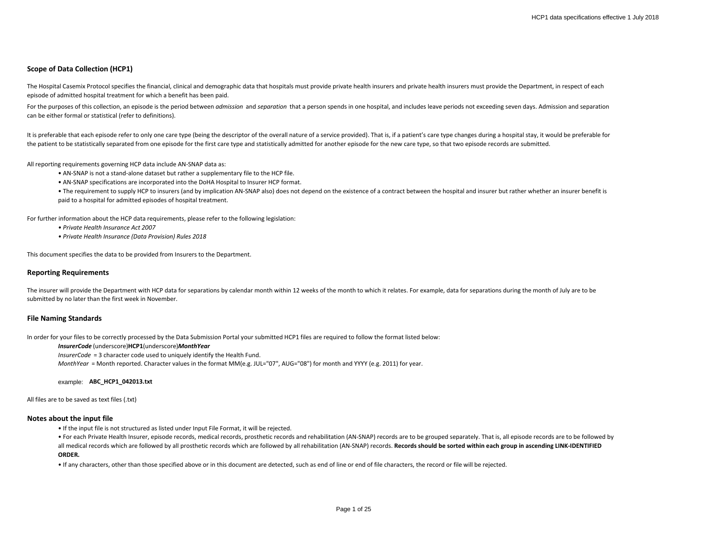# **Scope of Data Collection (HCP1)**

The Hospital Casemix Protocol specifies the financial, clinical and demographic data that hospitals must provide private health insurers and private health insurers must provide the Department, in respect of each episode of admitted hospital treatment for which a benefit has been paid.

For the purposes of this collection, an episode is the period between *admission* and *separation* that a person spends in one hospital, and includes leave periods not exceeding seven days. Admission and separation can be either formal or statistical (refer to definitions).

It is preferable that each episode refer to only one care type (being the descriptor of the overall nature of a service provided). That is, if a patient's care type changes during a hospital stay, it would be preferable fo the patient to be statistically separated from one episode for the first care type and statistically admitted for another episode for the new care type, so that two episode records are submitted.

All reporting requirements governing HCP data include AN-SNAP data as:

• AN-SNAP is not a stand-alone dataset but rather a supplementary file to the HCP file.

• AN-SNAP specifications are incorporated into the DoHA Hospital to Insurer HCP format.

• The requirement to supply HCP to insurers (and by implication AN-SNAP also) does not depend on the existence of a contract between the hospital and insurer but rather whether an insurer benefit is paid to a hospital for admitted episodes of hospital treatment.

For further information about the HCP data requirements, please refer to the following legislation:

*• Private Health Insurance Act 2007*

*• Private Health Insurance (Data Provision) Rules 2018*

This document specifies the data to be provided from Insurers to the Department.

## **Reporting Requirements**

The insurer will provide the Department with HCP data for separations by calendar month within 12 weeks of the month to which it relates. For example, data for separations during the month of July are to be submitted by no later than the first week in November.

### **File Naming Standards**

In order for your files to be correctly processed by the Data Submission Portal your submitted HCP1 files are required to follow the format listed below:

#### *InsurerCode* (underscore)**HCP1**(underscore)*MonthYear*

*InsurerCode* = 3 character code used to uniquely identify the Health Fund.

*MonthYear* = Month reported. Character values in the format MM(e.g. JUL="07", AUG="08") for month and YYYY (e.g. 2011) for year.

example: **ABC\_HCP1\_042013.txt**

All files are to be saved as text files (.txt)

### **Notes about the input file**

• If the input file is not structured as listed under Input File Format, it will be rejected.

• For each Private Health Insurer, episode records, medical records, prosthetic records and rehabilitation (AN-SNAP) records are to be grouped separately. That is, all episode records are to be followed by all medical records which are followed by all prosthetic records which are followed by all rehabilitation (AN-SNAP) records. **Records should be sorted within each group in ascending LINK-IDENTIFIED** 

#### **ORDER.**

• If any characters, other than those specified above or in this document are detected, such as end of line or end of file characters, the record or file will be rejected.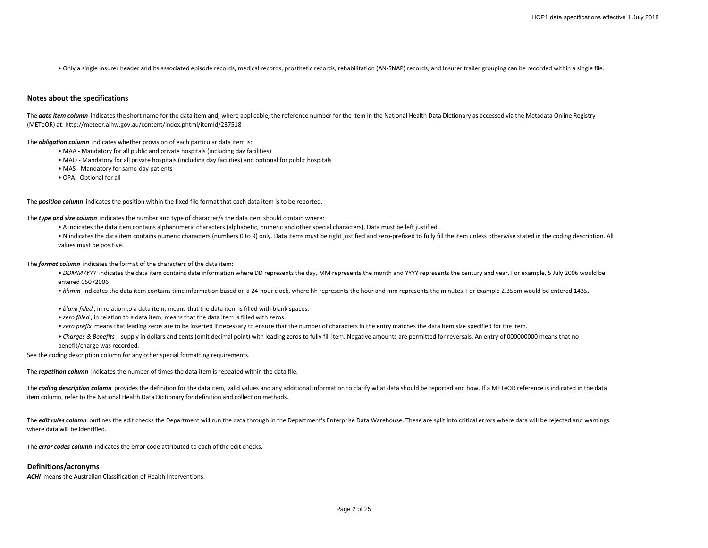• Only a single Insurer header and its associated episode records, medical records, prosthetic records, rehabilitation (AN-SNAP) records, and Insurer trailer grouping can be recorded within a single file.

### **Notes about the specifications**

The data item column indicates the short name for the data item and, where applicable, the reference number for the item in the National Health Data Dictionary as accessed via the Metadata Online Registry (METeOR) at: http://meteor.aihw.gov.au/content/index.phtml/itemId/237518

The *obligation column* indicates whether provision of each particular data item is:

- MAA Mandatory for all public and private hospitals (including day facilities)
- MAO Mandatory for all private hospitals (including day facilities) and optional for public hospitals
- MAS Mandatory for same-day patients
- OPA Optional for all

The *position column* indicates the position within the fixed file format that each data item is to be reported.

The *type and size column* indicates the number and type of character/s the data item should contain where:

- A indicates the data item contains alphanumeric characters (alphabetic, numeric and other special characters). Data must be left justified.
- N indicates the data item contains numeric characters (numbers 0 to 9) only. Data items must be right justified and zero-prefixed to fully fill the item unless otherwise stated in the coding description. All values must be positive.

The *format column* indicates the format of the characters of the data item:

- DDMMYYYY indicates the data item contains date information where DD represents the day, MM represents the month and YYYY represents the century and year. For example, 5 July 2006 would be entered 05072006
- *hhmm* indicates the data item contains time information based on a 24-hour clock, where hh represents the hour and mm represents the minutes. For example 2.35pm would be entered 1435.
- *blank filled* , in relation to a data item, means that the data item is filled with blank spaces.
- *zero filled* , in relation to a data item, means that the data item is filled with zeros.
- *zero prefix* means that leading zeros are to be inserted if necessary to ensure that the number of characters in the entry matches the data item size specified for the item.
- *Charges & Benefits*  supply in dollars and cents (omit decimal point) with leading zeros to fully fill item. Negative amounts are permitted for reversals. An entry of 000000000 means that no benefit/charge was recorded.

See the coding description column for any other special formatting requirements.

The *repetition column* indicates the number of times the data item is repeated within the data file.

The **coding description column** provides the definition for the data item, valid values and any additional information to clarify what data should be reported and how. If a METeOR reference is indicated in the data item column, refer to the National Health Data Dictionary for definition and collection methods.

The *edit rules column* outlines the edit checks the Department will run the data through in the Department's Enterprise Data Warehouse. These are split into critical errors where data will be rejected and warnings where data will be identified.

The *error codes column* indicates the error code attributed to each of the edit checks.

# **Definitions/acronyms**

**ACHI** means the Australian Classification of Health Interventions.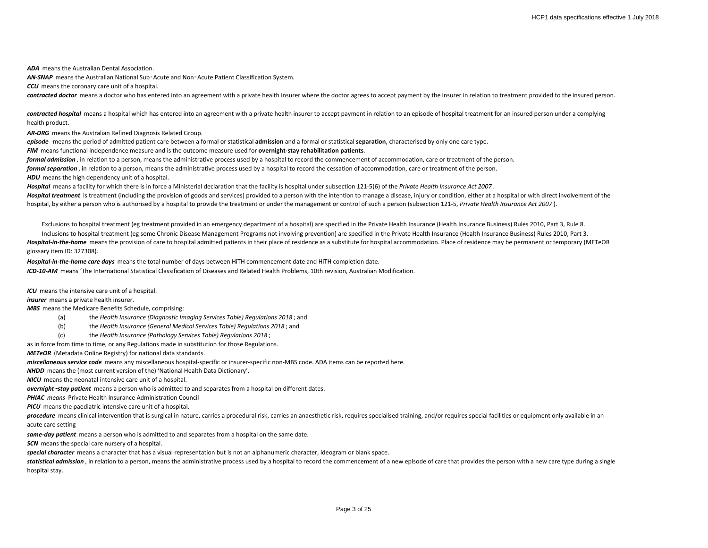*ADA* means the Australian Dental Association.

*AN-SNAP* means the Australian National Sub‑Acute and Non‑Acute Patient Classification System.

*CCU* means the coronary care unit of a hospital.

*contracted doctor* means a doctor who has entered into an agreement with a private health insurer where the doctor agrees to accept payment by the insurer in relation to treatment provided to the insured person.

contracted hospital means a hospital which has entered into an agreement with a private health insurer to accept payment in relation to an episode of hospital treatment for an insured person under a complying health product.

*AR-DRG* means the Australian Refined Diagnosis Related Group.

*episode* means the period of admitted patient care between a formal or statistical **admission** and a formal or statistical **separation**, characterised by only one care type.

*FIM* means functional independence measure and is the outcome measure used for **overnight-stay rehabilitation patients**.

*formal admission* , in relation to a person, means the administrative process used by a hospital to record the commencement of accommodation, care or treatment of the person.

*formal separation* , in relation to a person, means the administrative process used by a hospital to record the cessation of accommodation, care or treatment of the person.

**HDU** means the high dependency unit of a hospital.

*Hospital* means a facility for which there is in force a Ministerial declaration that the facility is hospital under subsection 121-5(6) of the *Private Health Insurance Act 2007* .

Hospital treatment is treatment (including the provision of goods and services) provided to a person with the intention to manage a disease, injury or condition, either at a hospital or with direct involvement of the hospital, by either a person who is authorised by a hospital to provide the treatment or under the management or control of such a person (subsection 121-5, *Private Health Insurance Act 2007* ).

Exclusions to hospital treatment (eg treatment provided in an emergency department of a hospital) are specified in the Private Health Insurance (Health Insurance Business) Rules 2010, Part 3, Rule 8.

Inclusions to hospital treatment (eg some Chronic Disease Management Programs not involving prevention) are specified in the Private Health Insurance (Health Insurance Business) Rules 2010, Part 3. *Hospital-in-the-home* means the provision of care to hospital admitted patients in their place of residence as a substitute for hospital accommodation. Place of residence may be permanent or temporary (METeOR glossary item ID: 327308).

*Hospital-in-the-home care days* means the total number of days between HiTH commencement date and HiTH completion date. *ICD-10-AM* means 'The International Statistical Classification of Diseases and Related Health Problems, 10th revision, Australian Modification.

*ICU* means the intensive care unit of a hospital.

*insurer* means a private health insurer.

*MBS* means the Medicare Benefits Schedule, comprising:

- (a) the *Health Insurance (Diagnostic Imaging Services Table) Regulations 2018* ; and
- (b) the *Health Insurance (General Medical Services Table) Regulations 2018* ; and
- (c) the *Health Insurance (Pathology Services Table) Regulations 2018* ;

as in force from time to time, or any Regulations made in substitution for those Regulations.

*METeOR* (Metadata Online Registry) for national data standards.

*miscellaneous service code* means any miscellaneous hospital-specific or insurer-specific non-MBS code. ADA items can be reported here.

*NHDD* means the (most current version of the) 'National Health Data Dictionary'.

*NICU* means the neonatal intensive care unit of a hospital.

*overnight*‑*stay patient* means a person who is admitted to and separates from a hospital on different dates.

*PHIAC means* Private Health Insurance Administration Council

*PICU* means the paediatric intensive care unit of a hospital.

procedure means clinical intervention that is surgical in nature, carries a procedural risk, carries an anaesthetic risk, requires specialised training, and/or requires special facilities or equipment only available in an acute care setting

*same-day patient* means a person who is admitted to and separates from a hospital on the same date.

**SCN** means the special care nursery of a hospital.

*special character* means a character that has a visual representation but is not an alphanumeric character, ideogram or blank space.

statistical admission, in relation to a person, means the administrative process used by a hospital to record the commencement of a new episode of care that provides the person with a new care type during a single hospital stay.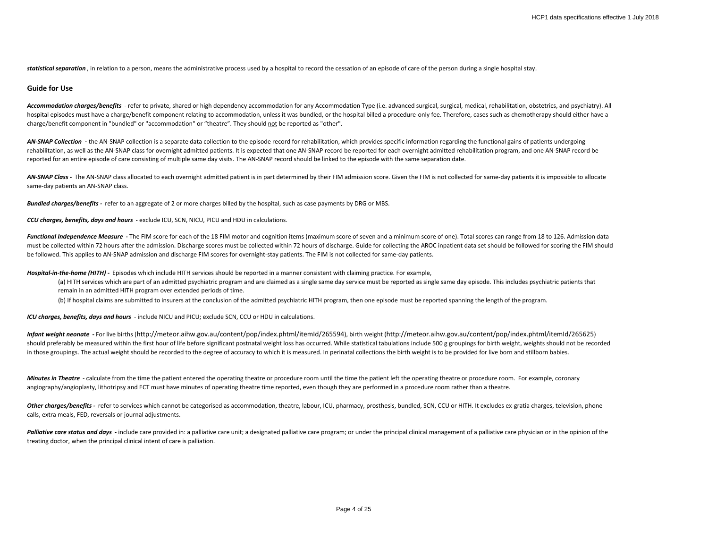statistical separation, in relation to a person, means the administrative process used by a hospital to record the cessation of an episode of care of the person during a single hospital stay.

### **Guide for Use**

*Accommodation charges/benefits* - refer to private, shared or high dependency accommodation for any Accommodation Type (i.e. advanced surgical, surgical, medical, rehabilitation, obstetrics, and psychiatry). All hospital episodes must have a charge/benefit component relating to accommodation, unless it was bundled, or the hospital billed a procedure-only fee. Therefore, cases such as chemotherapy should either have a charge/benefit component in "bundled" or "accommodation" or "theatre". They should not be reported as "other".

AN-SNAP Collection - the AN-SNAP collection is a separate data collection to the episode record for rehabilitation, which provides specific information regarding the functional gains of patients undergoing rehabilitation, as well as the AN-SNAP class for overnight admitted patients. It is expected that one AN-SNAP record be reported for each overnight admitted rehabilitation program, and one AN-SNAP record be reported for an entire episode of care consisting of multiple same day visits. The AN-SNAP record should be linked to the episode with the same separation date.

AN-SNAP Class - The AN-SNAP class allocated to each overnight admitted patient is in part determined by their FIM admission score. Given the FIM is not collected for same-day patients it is impossible to allocate same-day patients an AN-SNAP class.

*Bundled charges/benefits -* refer to an aggregate of 2 or more charges billed by the hospital, such as case payments by DRG or MBS.

*CCU charges, benefits, days and hours* - exclude ICU, SCN, NICU, PICU and HDU in calculations.

Functional Independence Measure - The FIM score for each of the 18 FIM motor and cognition items (maximum score of seven and a minimum score of one). Total scores can range from 18 to 126. Admission data must be collected within 72 hours after the admission. Discharge scores must be collected within 72 hours of discharge. Guide for collecting the AROC inpatient data set should be followed for scoring the FIM should be followed. This applies to AN-SNAP admission and discharge FIM scores for overnight-stay patients. The FIM is not collected for same-day patients.

*Hospital-in-the-home (HITH) -* Episodes which include HITH services should be reported in a manner consistent with claiming practice. For example,

- (a) HITH services which are part of an admitted psychiatric program and are claimed as a single same day service must be reported as single same day episode. This includes psychiatric patients that remain in an admitted HITH program over extended periods of time.
- (b) If hospital claims are submitted to insurers at the conclusion of the admitted psychiatric HITH program, then one episode must be reported spanning the length of the program.

*ICU charges, benefits, days and hours* - include NICU and PICU; exclude SCN, CCU or HDU in calculations.

*Infant weight neonate* **-** For live births (http://meteor.aihw.gov.au/content/pop/index.phtml/itemId/265594), birth weight (http://meteor.aihw.gov.au/content/pop/index.phtml/itemId/265625) should preferably be measured within the first hour of life before significant postnatal weight loss has occurred. While statistical tabulations include 500 g groupings for birth weight, weights should not be recorded in those groupings. The actual weight should be recorded to the degree of accuracy to which it is measured. In perinatal collections the birth weight is to be provided for live born and stillborn babies.

*Minutes in Theatre* - calculate from the time the patient entered the operating theatre or procedure room until the time the patient left the operating theatre or procedure room. For example, coronary angiography/angioplasty, lithotripsy and ECT must have minutes of operating theatre time reported, even though they are performed in a procedure room rather than a theatre.

Other charges/benefits - refer to services which cannot be categorised as accommodation, theatre, labour, ICU, pharmacy, prosthesis, bundled, SCN, CCU or HITH. It excludes ex-gratia charges, television, phone calls, extra meals, FED, reversals or journal adjustments.

Palliative care status and days - include care provided in: a palliative care unit; a designated palliative care program; or under the principal clinical management of a palliative care physician or in the opinion of the treating doctor, when the principal clinical intent of care is palliation.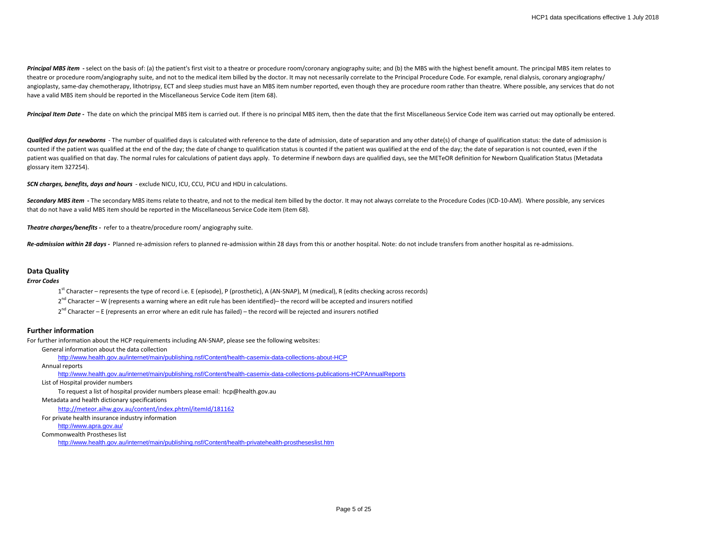Principal MBS item - select on the basis of: (a) the patient's first visit to a theatre or procedure room/coronary angiography suite; and (b) the MBS with the highest benefit amount. The principal MBS item relates to theatre or procedure room/angiography suite, and not to the medical item billed by the doctor. It may not necessarily correlate to the Principal Procedure Code. For example, renal dialysis, coronary angiography/ angioplasty, same-day chemotherapy, lithotripsy, ECT and sleep studies must have an MBS item number reported, even though they are procedure room rather than theatre. Where possible, any services that do not have a valid MBS item should be reported in the Miscellaneous Service Code item (item 68).

Principal Item Date - The date on which the principal MBS item is carried out. If there is no principal MBS item, then the date that the first Miscellaneous Service Code item was carried out may optionally be entered.

*Qualified days for newborns* - The number of qualified days is calculated with reference to the date of admission, date of separation and any other date(s) of change of qualification status: the date of admission is counted if the patient was qualified at the end of the day; the date of change to qualification status is counted if the patient was qualified at the end of the day; the date of separation is not counted, even if the patient was qualified on that day. The normal rules for calculations of patient days apply. To determine if newborn days are qualified days, see the METeOR definition for Newborn Qualification Status (Metadata glossary item 327254).

*SCN charges, benefits, days and hours* - exclude NICU, ICU, CCU, PICU and HDU in calculations.

Secondary MBS item - The secondary MBS items relate to theatre, and not to the medical item billed by the doctor. It may not always correlate to the Procedure Codes (ICD-10-AM). Where possible, any services that do not have a valid MBS item should be reported in the Miscellaneous Service Code item (item 68).

*Theatre charges/benefits -* refer to a theatre/procedure room/ angiography suite.

Re-admission within 28 days - Planned re-admission refers to planned re-admission within 28 days from this or another hospital. Note: do not include transfers from another hospital as re-admissions.

## **Data Quality**

### *Error Codes*

1<sup>st</sup> Character – represents the type of record i.e. E (episode), P (prosthetic), A (AN-SNAP), M (medical), R (edits checking across records)

- $2^{nd}$  Character W (represents a warning where an edit rule has been identified)– the record will be accepted and insurers notified
- $2^{nd}$  Character E (represents an error where an edit rule has failed) the record will be rejected and insurers notified

# **Further information**

For further information about the HCP requirements including AN-SNAP, please see the following websites:

General information about the data collection

<http://www.health.gov.au/internet/main/publishing.nsf/Content/health-casemix-data-collections-about-HCP>

Annual reports

<http://www.health.gov.au/internet/main/publishing.nsf/Content/health-casemix-data-collections-publications-HCPAnnualReports>

List of Hospital provider numbers

To request a list of hospital provider numbers please email: hcp@health.gov.au

Metadata and health dictionary specifications

<http://meteor.aihw.gov.au/content/index.phtml/itemId/181162>

For private health insurance industry information

<http://www.apra.gov.au/>

Commonwealth Prostheses list

<http://www.health.gov.au/internet/main/publishing.nsf/Content/health-privatehealth-prostheseslist.htm>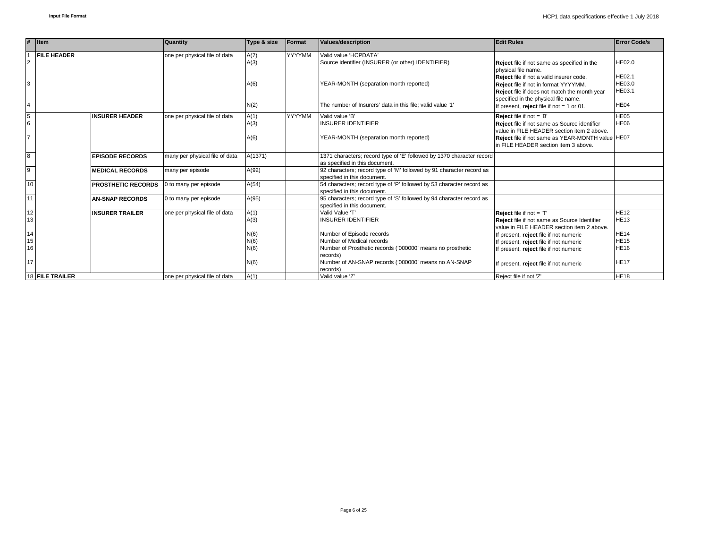|                | $#$ Item                  | <b>Quantity</b>                | Type & size  | Format | Values/description                                                                                      | <b>Edit Rules</b>                                                                                                                                                        | <b>Error Code/s</b>               |
|----------------|---------------------------|--------------------------------|--------------|--------|---------------------------------------------------------------------------------------------------------|--------------------------------------------------------------------------------------------------------------------------------------------------------------------------|-----------------------------------|
| $\overline{2}$ | <b>FILE HEADER</b>        | one per physical file of data  | A(7)<br>A(3) | YYYYMM | Valid value 'HCPDATA'<br>Source identifier (INSURER (or other) IDENTIFIER)                              | Reject file if not same as specified in the<br>physical file name.                                                                                                       | <b>HE02.0</b>                     |
| 3              |                           |                                | A(6)         |        | YEAR-MONTH (separation month reported)                                                                  | Reject file if not a valid insurer code.<br>Reject file if not in format YYYYMM.<br>Reject file if does not match the month year<br>specified in the physical file name. | <b>HE02.1</b><br>HE03.0<br>HE03.1 |
| $\overline{4}$ |                           |                                | N(2)         |        | The number of Insurers' data in this file: valid value '1'                                              | If present, reject file if not $= 1$ or 01.                                                                                                                              | HE <sub>04</sub>                  |
| 5<br>6         | <b>INSURER HEADER</b>     | one per physical file of data  | A(1)<br>A(3) | YYYYMM | Valid value 'B'<br><b>INSURER IDENTIFIER</b>                                                            | <b>Reject</b> file if not $=$ 'B'<br>Reject file if not same as Source identifier<br>value in FILE HEADER section item 2 above.                                          | HE05<br><b>HE06</b>               |
| $\overline{7}$ |                           |                                | A(6)         |        | YEAR-MONTH (separation month reported)                                                                  | Reject file if not same as YEAR-MONTH value HE07<br>In FILE HEADER section item 3 above.                                                                                 |                                   |
| $\overline{8}$ | <b>EPISODE RECORDS</b>    | many per physical file of data | A(1371)      |        | 1371 characters; record type of 'E' followed by 1370 character record<br>as specified in this document. |                                                                                                                                                                          |                                   |
| $\overline{9}$ | <b>MEDICAL RECORDS</b>    | many per episode               | A(92)        |        | 92 characters; record type of 'M' followed by 91 character record as<br>specified in this document.     |                                                                                                                                                                          |                                   |
| 10             | <b>PROSTHETIC RECORDS</b> | 0 to many per episode          | A(54)        |        | 54 characters; record type of 'P' followed by 53 character record as<br>specified in this document.     |                                                                                                                                                                          |                                   |
| 11             | <b>AN-SNAP RECORDS</b>    | 0 to many per episode          | A(95)        |        | 95 characters; record type of 'S' followed by 94 character record as<br>specified in this document      |                                                                                                                                                                          |                                   |
| 12<br>13       | <b>INSURER TRAILER</b>    | one per physical file of data  | A(1)<br>A(3) |        | Valid Value 'T'<br><b>INSURER IDENTIFIER</b>                                                            | Reject file if not = 'T'<br>Reject file if not same as Source Identifier<br>value in FILE HEADER section item 2 above.                                                   | <b>HE12</b><br><b>HE13</b>        |
| 14             |                           |                                | N(6)         |        | Number of Episode records                                                                               | If present, reject file if not numeric                                                                                                                                   | <b>HE14</b>                       |
| 15             |                           |                                | N(6)         |        | Number of Medical records                                                                               | If present, reject file if not numeric                                                                                                                                   | <b>HE15</b>                       |
| 16             |                           |                                | N(6)         |        | Number of Prosthetic records ('000000' means no prosthetic<br>records)                                  | If present, reject file if not numeric                                                                                                                                   | <b>HE16</b>                       |
| 17             |                           |                                | N(6)         |        | Number of AN-SNAP records ('000000' means no AN-SNAP<br>records)                                        | If present, reject file if not numeric                                                                                                                                   | <b>HE17</b>                       |
|                | <b>18 FILE TRAILER</b>    | one per physical file of data  | A(1)         |        | Valid value 'Z'                                                                                         | Reject file if not 'Z'                                                                                                                                                   | <b>HE18</b>                       |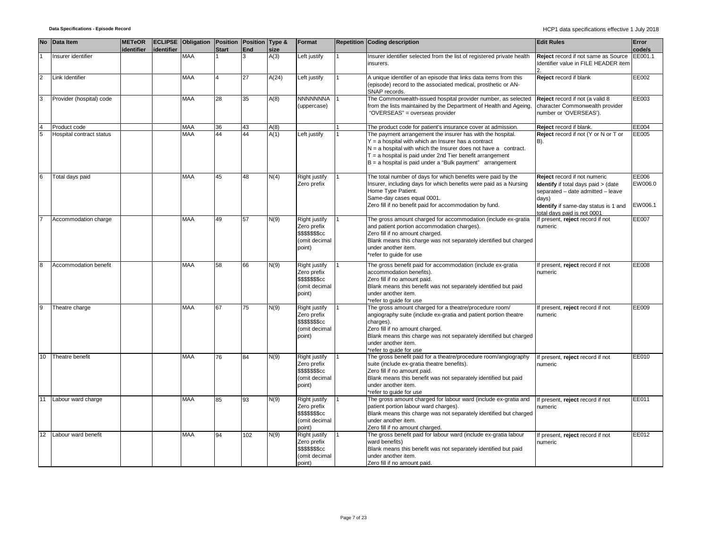|                | No Data Item             | <b>METeOR</b><br>identifier | identifier | ECLIPSE Obligation Position Position Type & | <b>Start</b> | End | size  | Format                                                                                    | Repetition Coding description                                                                                                                                                                                                                                                                                          | <b>Edit Rules</b>                                                                                                                                                                               | Error<br>code/s             |
|----------------|--------------------------|-----------------------------|------------|---------------------------------------------|--------------|-----|-------|-------------------------------------------------------------------------------------------|------------------------------------------------------------------------------------------------------------------------------------------------------------------------------------------------------------------------------------------------------------------------------------------------------------------------|-------------------------------------------------------------------------------------------------------------------------------------------------------------------------------------------------|-----------------------------|
|                | Insurer identifier       |                             |            | <b>MAA</b>                                  |              | 3   | A(3)  | Left justify                                                                              | Insurer identifier selected from the list of registered private health<br>insurers.                                                                                                                                                                                                                                    | Reject record if not same as Source<br>Identifier value in FILE HEADER item                                                                                                                     | EE001.1                     |
| $\overline{2}$ | Link Identifier          |                             |            | <b>MAA</b>                                  |              | 27  | A(24) | Left justify                                                                              | A unique identifier of an episode that links data items from this<br>(episode) record to the associated medical, prosthetic or AN-<br>SNAP records.                                                                                                                                                                    | Reject record if blank                                                                                                                                                                          | EE002                       |
| 3              | Provider (hospital) code |                             |            | <b>MAA</b>                                  | 28           | 35  | A(8)  | <b>NNNNNNNA</b><br>(uppercase)                                                            | The Commonwealth-issued hospital provider number, as selected<br>from the lists maintained by the Department of Health and Ageing.<br>"OVERSEAS" = overseas provider                                                                                                                                                   | Reject record if not (a valid 8<br>character Commonwealth provider<br>number or 'OVERSEAS').                                                                                                    | EE003                       |
|                | Product code             |                             |            | <b>MAA</b>                                  | 36           | 43  | A(8)  |                                                                                           | The product code for patient's insurance cover at admission.                                                                                                                                                                                                                                                           | Reject record if blank.                                                                                                                                                                         | EE004                       |
| 5              | Hospital contract status |                             |            | <b>MAA</b>                                  | 44           | 44  | A(1)  | Left justify                                                                              | The payment arrangement the insurer has with the hospital.<br>$Y = a$ hospital with which an Insurer has a contract<br>$N = a$ hospital with which the Insurer does not have a contract.<br>$T = a$ hospital is paid under 2nd Tier benefit arrangement<br>$B = a$ hospital is paid under a "Bulk payment" arrangement | Reject record if not (Y or N or T or<br>B).                                                                                                                                                     | EE005                       |
| 6              | Total days paid          |                             |            | <b>MAA</b>                                  | 45           | 48  | N(4)  | <b>Right justify</b><br>Zero prefix                                                       | The total number of days for which benefits were paid by the<br>Insurer, including days for which benefits were paid as a Nursing<br>Home Type Patient.<br>Same-day cases equal 0001.<br>Zero fill if no benefit paid for accommodation by fund.                                                                       | Reject record if not numeric<br><b>Identify</b> if total days paid > (date<br>separated - date admitted - leave<br>days)<br>Identify if same-day status is 1 and<br>total days paid is not 0001 | EE006<br>EW006.0<br>EW006.1 |
|                | Accommodation charge     |                             |            | <b>MAA</b>                                  | 49           | 57  | N(9)  | Right justify<br>Zero prefix<br><b>\$\$\$\$\$\$\$cc</b><br>(omit decimal<br>point)        | The gross amount charged for accommodation (include ex-gratia<br>and patient portion accommodation charges).<br>Zero fill if no amount charged.<br>Blank means this charge was not separately identified but charged<br>under another item.<br>*refer to guide for use                                                 | If present, reject record if not<br>numeric                                                                                                                                                     | EE007                       |
| $\mathsf{R}$   | Accommodation benefit    |                             |            | <b>MAA</b>                                  | 58           | 66  | N(9)  | Right justify<br>Zero prefix<br><b>\$\$\$\$\$\$\$cc</b><br>(omit decimal<br>point)        | The gross benefit paid for accommodation (include ex-gratia<br>accommodation benefits).<br>Zero fill if no amount paid.<br>Blank means this benefit was not separately identified but paid<br>under another item.<br>*refer to quide for use                                                                           | If present, reject record if not<br>numeric                                                                                                                                                     | <b>EE008</b>                |
| 9              | Theatre charge           |                             |            | <b>MAA</b>                                  | 67           | 75  | N(9)  | <b>Right justify</b><br>Zero prefix<br><b>\$\$\$\$\$\$\$cc</b><br>(omit decimal<br>point) | The gross amount charged for a theatre/procedure room/<br>angiography suite (include ex-gratia and patient portion theatre<br>charges).<br>Zero fill if no amount charged.<br>Blank means this charge was not separately identified but charged<br>under another item.<br>*refer to guide for use                      | If present, reject record if not<br>numeric                                                                                                                                                     | EE009                       |
| 10             | Theatre benefit          |                             |            | <b>MAA</b>                                  | 76           | 84  | N(9)  | Right justify<br>Zero prefix<br><b>\$\$\$\$\$\$\$cc</b><br>(omit decimal<br>point)        | The gross benefit paid for a theatre/procedure room/angiography<br>suite (include ex-gratia theatre benefits).<br>Zero fill if no amount paid.<br>Blank means this benefit was not separately identified but paid<br>under another item.<br>*refer to quide for use                                                    | If present, reject record if not<br>numeric                                                                                                                                                     | EE010                       |
| 11             | Labour ward charge       |                             |            | <b>MAA</b>                                  | 85           | 93  | N(9)  | Right justify<br>Zero prefix<br><b>\$\$\$\$\$\$\$cc</b><br>(omit decimal<br>point)        | The gross amount charged for labour ward (include ex-gratia and<br>patient portion labour ward charges).<br>Blank means this charge was not separately identified but charged<br>under another item.<br>Zero fill if no amount charged.                                                                                | If present, reject record if not<br>numeric                                                                                                                                                     | EE011                       |
| 12             | Labour ward benefit      |                             |            | <b>MAA</b>                                  | 94           | 102 | N(9)  | Right justify<br>Zero prefix<br>\$\$\$\$\$\$\$cc<br>(omit decimal<br>point)               | The gross benefit paid for labour ward (include ex-gratia labour<br>ward benefits)<br>Blank means this benefit was not separately identified but paid<br>under another item.<br>Zero fill if no amount paid.                                                                                                           | If present, reject record if not<br>numeric                                                                                                                                                     | EE012                       |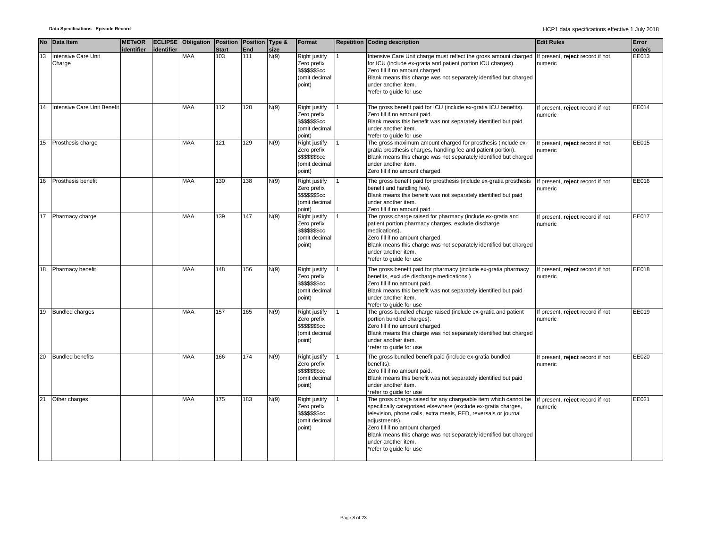|                 | No Data Item                  | <b>METeOR</b><br>identifier | identifier | <b>ECLIPSE</b> Obligation Position Position Type & | <b>Start</b> | End | size | Format                                                                      | <b>Repetition Coding description</b>                                                                                                                                                                                                                                                                                                                                            | <b>Edit Rules</b>                           | Error<br>code/s |
|-----------------|-------------------------------|-----------------------------|------------|----------------------------------------------------|--------------|-----|------|-----------------------------------------------------------------------------|---------------------------------------------------------------------------------------------------------------------------------------------------------------------------------------------------------------------------------------------------------------------------------------------------------------------------------------------------------------------------------|---------------------------------------------|-----------------|
| $\overline{13}$ | Intensive Care Unit<br>Charge |                             |            | <b>MAA</b>                                         | 103          | 111 | N(9) | Right justify<br>Zero prefix<br>\$\$\$\$\$\$\$cc<br>(omit decimal<br>point) | Intensive Care Unit charge must reflect the gross amount charged If present, reject record if not<br>for ICU (include ex-gratia and patient portion ICU charges).<br>Zero fill if no amount charged.<br>Blank means this charge was not separately identified but charged<br>under another item.<br>*refer to guide for use                                                     | numeric                                     | EE013           |
| 14              | Intensive Care Unit Benefit   |                             |            | <b>MAA</b>                                         | 112          | 120 | N(9) | Right justify<br>Zero prefix<br>\$\$\$\$\$\$\$cc<br>(omit decimal<br>(point | The gross benefit paid for ICU (include ex-gratia ICU benefits).<br>Zero fill if no amount paid.<br>Blank means this benefit was not separately identified but paid<br>under another item.<br>*refer to quide for use                                                                                                                                                           | If present, reject record if not<br>numeric | EE014           |
| 15              | Prosthesis charge             |                             |            | <b>MAA</b>                                         | 121          | 129 | N(9) | Right justify<br>Zero prefix<br>\$\$\$\$\$\$\$cc<br>(omit decimal<br>point) | The gross maximum amount charged for prosthesis (include ex-<br>gratia prosthesis charges, handling fee and patient portion).<br>Blank means this charge was not separately identified but charged<br>under another item.<br>Zero fill if no amount charged.                                                                                                                    | If present, reject record if not<br>numeric | EE015           |
| 16              | Prosthesis benefit            |                             |            | <b>MAA</b>                                         | 130          | 138 | N(9) | Right justify<br>Zero prefix<br>\$\$\$\$\$\$\$cc<br>(omit decimal<br>point) | The gross benefit paid for prosthesis (include ex-gratia prosthesis<br>benefit and handling fee).<br>Blank means this benefit was not separately identified but paid<br>under another item.<br>Zero fill if no amount paid.                                                                                                                                                     | If present, reject record if not<br>numeric | EE016           |
|                 | 17 Pharmacy charge            |                             |            | <b>MAA</b>                                         | 139          | 147 | N(9) | Right justify<br>Zero prefix<br>\$\$\$\$\$\$\$cc<br>(omit decimal<br>point) | The gross charge raised for pharmacy (include ex-gratia and<br>patient portion pharmacy charges, exclude discharge<br>medications).<br>Zero fill if no amount charged.<br>Blank means this charge was not separately identified but charged<br>under another item.<br>*refer to quide for use                                                                                   | If present, reject record if not<br>numeric | EE017           |
| 18              | Pharmacy benefit              |                             |            | <b>MAA</b>                                         | 148          | 156 | N(9) | Right justify<br>Zero prefix<br>\$\$\$\$\$\$\$cc<br>(omit decimal<br>point) | The gross benefit paid for pharmacy (include ex-gratia pharmacy<br>benefits, exclude discharge medications.)<br>Zero fill if no amount paid.<br>Blank means this benefit was not separately identified but paid<br>under another item.<br>*refer to quide for use                                                                                                               | If present, reject record if not<br>numeric | EE018           |
| 19              | <b>Bundled charges</b>        |                             |            | MAA                                                | 157          | 165 | N(9) | Right justify<br>Zero prefix<br>\$\$\$\$\$\$\$cc<br>(omit decimal<br>point) | The gross bundled charge raised (include ex-gratia and patient<br>portion bundled charges).<br>Zero fill if no amount charged.<br>Blank means this charge was not separately identified but charged<br>under another item.<br>*refer to quide for use                                                                                                                           | If present, reject record if not<br>numeric | EE019           |
| 20              | <b>Bundled benefits</b>       |                             |            | <b>MAA</b>                                         | 166          | 174 | N(9) | Right justify<br>Zero prefix<br>\$\$\$\$\$\$\$cc<br>(omit decimal<br>point) | The gross bundled benefit paid (include ex-gratia bundled<br>benefits).<br>Zero fill if no amount paid.<br>Blank means this benefit was not separately identified but paid<br>under another item.<br>*refer to guide for use                                                                                                                                                    | If present, reject record if not<br>numeric | EE020           |
| 21              | Other charges                 |                             |            | <b>MAA</b>                                         | 175          | 183 | N(9) | Right justify<br>Zero prefix<br>\$\$\$\$\$\$\$cc<br>(omit decimal<br>point) | The gross charge raised for any chargeable item which cannot be<br>specifically categorised elsewhere (exclude ex-gratia charges,<br>television, phone calls, extra meals, FED, reversals or journal<br>adjustments).<br>Zero fill if no amount charged.<br>Blank means this charge was not separately identified but charged<br>under another item.<br>*refer to guide for use | If present, reject record if not<br>numeric | EE021           |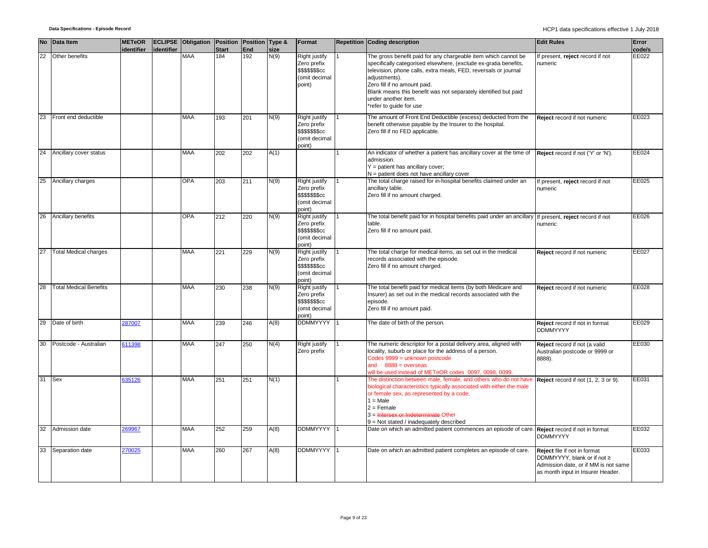|    | No Data Item                  | <b>METeOR</b><br>identifier | identifier | ECLIPSE Obligation Position Position Type & | <b>Start</b> | End | size | Format                                                                                   | <b>Repetition Coding description</b>                                                                                                                                                                                                                                                                                                                                        | <b>Edit Rules</b>                                                                                                                        | Error<br>code/s |
|----|-------------------------------|-----------------------------|------------|---------------------------------------------|--------------|-----|------|------------------------------------------------------------------------------------------|-----------------------------------------------------------------------------------------------------------------------------------------------------------------------------------------------------------------------------------------------------------------------------------------------------------------------------------------------------------------------------|------------------------------------------------------------------------------------------------------------------------------------------|-----------------|
| 22 | Other benefits                |                             |            | <b>MAA</b>                                  | 184          | 192 | N(9) | Right justify<br>Zero prefix<br>\$\$\$\$\$\$ <sub>\$cc</sub><br>(omit decimal<br>point)  | The gross benefit paid for any chargeable item which cannot be<br>specifically categorised elsewhere, (exclude ex-gratia benefits,<br>television, phone calls, extra meals, FED, reversals or journal<br>adiustments).<br>Zero fill if no amount paid.<br>Blank means this benefit was not separately identified but paid<br>under another item.<br>*refer to guide for use | f present, reject record if not<br>numeric                                                                                               | EE022           |
| 23 | Front end deductible          |                             |            | <b>MAA</b>                                  | 193          | 201 | N(9) | Right justify<br>Zero prefix<br>\$\$\$\$\$\$ <sub>\$cc</sub><br>(omit decimal<br>point)  | The amount of Front End Deductible (excess) deducted from the<br>benefit otherwise payable by the Insurer to the hospital.<br>Zero fill if no FED applicable.                                                                                                                                                                                                               | Reject record if not numeric                                                                                                             | EE023           |
| 24 | Ancillary cover status        |                             |            | <b>MAA</b>                                  | 202          | 202 | A(1) |                                                                                          | An indicator of whether a patient has ancillary cover at the time of<br>admission.<br>$Y =$ patient has ancillary cover;<br>$N =$ patient does not have ancillary cover                                                                                                                                                                                                     | Reject record if not ('Y' or 'N').                                                                                                       | EE024           |
| 25 | Ancillary charges             |                             |            | <b>OPA</b>                                  | 203          | 211 | N(9) | Right justify<br>Zero prefix<br>\$\$\$\$\$\$ <sub>\$cc</sub><br>(omit decimal<br>point)  | The total charge raised for in-hospital benefits claimed under an<br>ancillary table.<br>Zero fill if no amount charged.                                                                                                                                                                                                                                                    | If present, reject record if not<br>numeric                                                                                              | EE025           |
| 26 | Ancillary benefits            |                             |            | <b>OPA</b>                                  | 212          | 220 | N(9) | Right justify<br>Zero prefix<br>\$\$\$\$\$\$ <sub>\$</sub> cc<br>(omit decimal<br>point) | The total benefit paid for in hospital benefits paid under an ancillary If present, reject record if not<br>table.<br>Zero fill if no amount paid.                                                                                                                                                                                                                          | numeric                                                                                                                                  | EE026           |
| 27 | <b>Total Medical charges</b>  |                             |            | <b>MAA</b>                                  | 221          | 229 | N(9) | Right justify<br>Zero prefix<br>\$\$\$\$\$\$ <sub>\$cc</sub><br>(omit decimal<br>point)  | The total charge for medical items, as set out in the medical<br>records associated with the episode.<br>Zero fill if no amount charged.                                                                                                                                                                                                                                    | Reject record if not numeric                                                                                                             | EE027           |
| 28 | <b>Total Medical Benefits</b> |                             |            | <b>MAA</b>                                  | 230          | 238 | N(9) | Right justify<br>Zero prefix<br>\$\$\$\$\$\$cc<br>(omit decimal<br>(point                | The total benefit paid for medical items (by both Medicare and<br>Insurer) as set out in the medical records associated with the<br>episode.<br>Zero fill if no amount paid.                                                                                                                                                                                                | Reject record if not numeric                                                                                                             | EE028           |
| 29 | Date of birth                 | 287007                      |            | <b>MAA</b>                                  | 239          | 246 | A(8) | <b>DDMMYYYY</b>                                                                          | The date of birth of the person.                                                                                                                                                                                                                                                                                                                                            | Reject record if not in format<br><b>DDMMYYYY</b>                                                                                        | EE029           |
| 30 | Postcode - Australian         | 611398                      |            | <b>MAA</b>                                  | 247          | 250 | N(4) | Right justify<br>Zero prefix                                                             | The numeric descriptor for a postal delivery area, aligned with<br>locality, suburb or place for the address of a person.<br>Codes 9999 = unknown postcode<br>and $8888 = 0$ verseas<br>will be used instead of METeOR codes 0097, 0098, 0099                                                                                                                               | Reject record if not (a valid<br>Australian postcode or 9999 or<br>8888).                                                                | EE030           |
| 31 | Sex                           | 635126                      |            | <b>MAA</b>                                  | 251          | 251 | N(1) |                                                                                          | The distinction between male, female, and others who do not have<br>biological characteristics typically associated with either the male<br>or female sex, as represented by a code.<br>$1 = Male$<br>$2 =$ Female<br>$3 =$ Intersex or Indeterminate Other<br>$9$ = Not stated / inadequately described                                                                    | Reject record if not (1, 2, 3 or 9).                                                                                                     | EE031           |
| 32 | Admission date                | 269967                      |            | <b>MAA</b>                                  | 252          | 259 | A(8) | <b>DDMMYYYY</b>                                                                          | Date on which an admitted patient commences an episode of care.                                                                                                                                                                                                                                                                                                             | Reject record if not in format<br><b>DDMMYYYY</b>                                                                                        | EE032           |
| 33 | Separation date               | 270025                      |            | <b>MAA</b>                                  | 260          | 267 | A(8) | <b>DDMMYYYY</b>                                                                          | Date on which an admitted patient completes an episode of care.                                                                                                                                                                                                                                                                                                             | Reject file if not in format<br>DDMMYYYY, blank or if not ≥<br>Admission date, or if MM is not same<br>as month input in Insurer Header. | EE033           |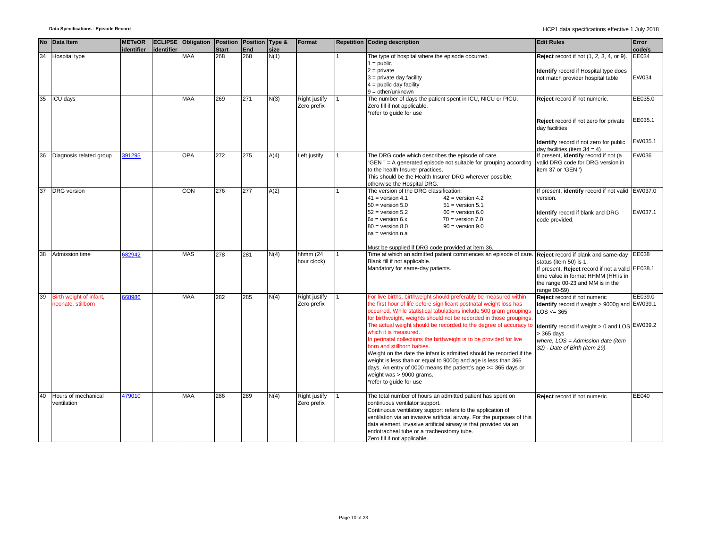| <b>No</b> | Data Item                                     | <b>METeOR</b><br>identifier | identifier | <b>ECLIPSE</b> Obligation Position Position Type & | <b>Start</b> | End | size | Format                       | Repetition Coding description                                                                                                                                                                                                                                                                                                                                                                                                                                                                                                                                                                                                                                                                                                                            | <b>Edit Rules</b>                                                                                                                                                                                                                               | Error<br>code/s               |
|-----------|-----------------------------------------------|-----------------------------|------------|----------------------------------------------------|--------------|-----|------|------------------------------|----------------------------------------------------------------------------------------------------------------------------------------------------------------------------------------------------------------------------------------------------------------------------------------------------------------------------------------------------------------------------------------------------------------------------------------------------------------------------------------------------------------------------------------------------------------------------------------------------------------------------------------------------------------------------------------------------------------------------------------------------------|-------------------------------------------------------------------------------------------------------------------------------------------------------------------------------------------------------------------------------------------------|-------------------------------|
| 34        | Hospital type                                 |                             |            | <b>MAA</b>                                         | 268          | 268 | N(1) |                              | The type of hospital where the episode occurred.<br>$1 = \text{public}$<br>$2 = private$<br>$3$ = private day facility<br>$4 =$ public day facility<br>$9 = other/unknown$                                                                                                                                                                                                                                                                                                                                                                                                                                                                                                                                                                               | <b>Reject</b> record if not (1, 2, 3, 4, or 9).<br>Identify record if Hospital type does<br>not match provider hospital table                                                                                                                   | EE034<br>EW034                |
| 35        | <b>ICU days</b>                               |                             |            | <b>MAA</b>                                         | 269          | 271 | N(3) | Right justify<br>Zero prefix | The number of days the patient spent in ICU, NICU or PICU.<br>Zero fill if not applicable.<br>*refer to guide for use                                                                                                                                                                                                                                                                                                                                                                                                                                                                                                                                                                                                                                    | Reject record if not numeric.<br>Reject record if not zero for private<br>dav facilities<br>Identify record if not zero for public<br>day facilities (item $34 = 4$ )                                                                           | EE035.0<br>EE035.1<br>EW035.1 |
| 36        | Diagnosis related group                       | 391295                      |            | <b>OPA</b>                                         | 272          | 275 | A(4) | Left justify                 | The DRG code which describes the episode of care.<br>"GEN" = A generated episode not suitable for grouping according<br>to the health Insurer practices.<br>This should be the Health Insurer DRG wherever possible;<br>otherwise the Hospital DRG.                                                                                                                                                                                                                                                                                                                                                                                                                                                                                                      | If present, identify record if not (a<br>valid DRG code for DRG version in<br>item 37 or 'GEN ')                                                                                                                                                | EW036                         |
| 37        | <b>DRG</b> version                            |                             |            | CON                                                | 276          | 277 | A(2) |                              | The version of the DRG classification:<br>$41 =$ version 4.1<br>$42 = version 4.2$<br>$50 =$ version $5.0$<br>$51 =$ version $5.1$<br>$52 =$ version $5.2$<br>$60 =$ version $6.0$<br>$6x =$ version $6.x$<br>$70 = version 7.0$<br>$80 =$ version $8.0$<br>$90 =$ version $9.0$<br>na = version n.a                                                                                                                                                                                                                                                                                                                                                                                                                                                     | If present, identify record if not valid EW037.0<br>version.<br>Identify record if blank and DRG<br>code provided.                                                                                                                              | EW037.1                       |
| 38        | Admission time                                | 382942                      |            | <b>MAS</b>                                         | 278          | 281 | N(4) | hhmm $(24)$<br>hour clock)   | Must be supplied if DRG code provided at item 36.<br>Time at which an admitted patient commences an episode of care.<br>Blank fill if not applicable.<br>Mandatory for same-day patients.                                                                                                                                                                                                                                                                                                                                                                                                                                                                                                                                                                | <b>Reject</b> record if blank and same-day<br>status (item 50) is 1.<br>If present, Reject record if not a valid EE038.1<br>time value in format HHMM (HH is in<br>the range 00-23 and MM is in the<br>range 00-59)                             | EE038                         |
| 39        | Birth weight of infant,<br>neonate, stillborn | 668986                      |            | <b>MAA</b>                                         | 282          | 285 | N(4) | Right justify<br>Zero prefix | For live births, birthweight should preferably be measured within<br>the first hour of life before significant postnatal weight loss has<br>occurred. While statistical tabulations include 500 gram groupings<br>for birthweight, weights should not be recorded in those groupings<br>The actual weight should be recorded to the degree of accuracy to<br>which it is measured.<br>In perinatal collections the birthweight is to be provided for live<br>born and stillborn babies.<br>Weight on the date the infant is admitted should be recorded if the<br>weight is less than or equal to 9000g and age is less than 365<br>days. An entry of 0000 means the patient's age >= 365 days or<br>weight was > 9000 grams.<br>*refer to guide for use | Reject record if not numeric<br>Identify record if weight > 9000g and EW039.1<br>$LOS \leq 365$<br><b>Identify</b> record if weight $> 0$ and LOS EW039.2<br>$> 365$ days<br>where, LOS = Admission date (item<br>32) - Date of Birth (item 29) | EE039.0                       |
| 40        | Hours of mechanical<br>ventilation            | 479010                      |            | <b>MAA</b>                                         | 286          | 289 | N(4) | Right justify<br>Zero prefix | The total number of hours an admitted patient has spent on<br>continuous ventilator support.<br>Continuous ventilatory support refers to the application of<br>ventilation via an invasive artificial airway. For the purposes of this<br>data element, invasive artificial airway is that provided via an<br>endotracheal tube or a tracheostomy tube.<br>Zero fill if not applicable.                                                                                                                                                                                                                                                                                                                                                                  | Reject record if not numeric                                                                                                                                                                                                                    | EE040                         |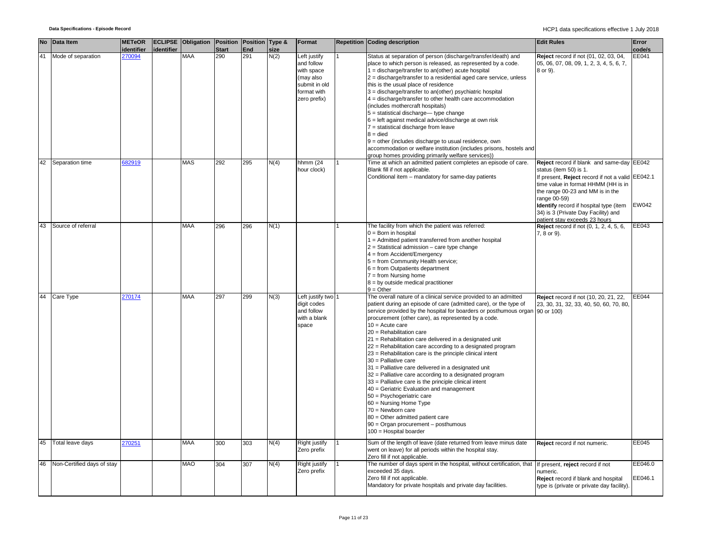|    | No Data Item               | <b>METeOR</b><br>identifier | identifier | <b>ECLIPSE Obligation Position Position Type &amp;</b> | <b>Start</b> | End | size | Format                                                                                                | <b>Repetition Coding description</b>                                                                                                                                                                                                                                                                                                                                                                                                                                                                                                                                                                                                                                                                                                                                                                                                                                                                                                                       | <b>Edit Rules</b>                                                                                                                                                                                                                                                                                   | Error<br>code/s    |
|----|----------------------------|-----------------------------|------------|--------------------------------------------------------|--------------|-----|------|-------------------------------------------------------------------------------------------------------|------------------------------------------------------------------------------------------------------------------------------------------------------------------------------------------------------------------------------------------------------------------------------------------------------------------------------------------------------------------------------------------------------------------------------------------------------------------------------------------------------------------------------------------------------------------------------------------------------------------------------------------------------------------------------------------------------------------------------------------------------------------------------------------------------------------------------------------------------------------------------------------------------------------------------------------------------------|-----------------------------------------------------------------------------------------------------------------------------------------------------------------------------------------------------------------------------------------------------------------------------------------------------|--------------------|
|    | Mode of separation         | 270094                      |            | <b>MAA</b>                                             | 290          | 291 | N(2) | Left justify<br>and follow<br>with space<br>(may also<br>submit in old<br>format with<br>zero prefix) | Status at separation of person (discharge/transfer/death) and<br>place to which person is released, as represented by a code.<br>$1 =$ discharge/transfer to an(other) acute hospital<br>$2 =$ discharge/transfer to a residential aged care service, unless<br>this is the usual place of residence<br>3 = discharge/transfer to an(other) psychiatric hospital<br>4 = discharge/transfer to other health care accommodation<br>(includes mothercraft hospitals)<br>$5 =$ statistical discharge— type change<br>$6$ = left against medical advice/discharge at own risk<br>$7$ = statistical discharge from leave<br>$8 =$ died<br>$9$ = other (includes discharge to usual residence, own<br>accommodation or welfare institution (includes prisons, hostels and<br>group homes providing primarily welfare services))                                                                                                                                   | Reject record if not (01, 02, 03, 04,<br>05, 06, 07, 08, 09, 1, 2, 3, 4, 5, 6, 7,<br>8 or 9).                                                                                                                                                                                                       | EE041              |
| 42 | Separation time            | 82919                       |            | <b>MAS</b>                                             | 292          | 295 | N(4) | hhmm (24<br>hour clock)                                                                               | Time at which an admitted patient completes an episode of care.<br>Blank fill if not applicable.<br>Conditional item - mandatory for same-day patients                                                                                                                                                                                                                                                                                                                                                                                                                                                                                                                                                                                                                                                                                                                                                                                                     | Reject record if blank and same-day EE042<br>status (item 50) is 1.<br>If present, Reject record if not a valid EE042.1<br>time value in format HHMM (HH is in<br>the range 00-23 and MM is in the<br>range 00-59)<br>Identify record if hospital type (item<br>34) is 3 (Private Day Facility) and | EW042              |
| 43 | Source of referral         |                             |            | <b>MAA</b>                                             | 296          | 296 | N(1) |                                                                                                       | The facility from which the patient was referred:<br>$0 = Born$ in hospital<br>1 = Admitted patient transferred from another hospital<br>$2 =$ Statistical admission – care type change<br>4 = from Accident/Emergency<br>5 = from Community Health service;<br>$6 = from$ Outpatients department<br>$7 = from Nursing home$<br>$8 = by outside medical practitioner$<br>$9 = Other$                                                                                                                                                                                                                                                                                                                                                                                                                                                                                                                                                                       | patient stay exceeds 23 hours<br><b>Reject</b> record if not (0, 1, 2, 4, 5, 6,<br>7, 8 or 9).                                                                                                                                                                                                      | EE043              |
|    | 44 Care Type               | 270174                      |            | <b>MAA</b>                                             | 297          | 299 | N(3) | Left justify two<br>digit codes<br>and follow<br>with a blank<br>space                                | The overall nature of a clinical service provided to an admitted<br>patient during an episode of care (admitted care), or the type of<br>service provided by the hospital for boarders or posthumous organ 90 or 100)<br>procurement (other care), as represented by a code.<br>$10 =$ Acute care<br>20 = Rehabilitation care<br>21 = Rehabilitation care delivered in a designated unit<br>22 = Rehabilitation care according to a designated program<br>23 = Rehabilitation care is the principle clinical intent<br>$30$ = Palliative care<br>31 = Palliative care delivered in a designated unit<br>32 = Palliative care according to a designated program<br>33 = Palliative care is the principle clinical intent<br>40 = Geriatric Evaluation and management<br>50 = Psychogeriatric care<br>60 = Nursing Home Type<br>$70 =$ Newborn care<br>80 = Other admitted patient care<br>$90 =$ Organ procurement - posthumous<br>$100$ = Hospital boarder | Reject record if not (10, 20, 21, 22,<br>23, 30, 31, 32, 33, 40, 50, 60, 70, 80,                                                                                                                                                                                                                    | EE044              |
| 45 | Total leave days           | 270251                      |            | MAA                                                    | 300          | 303 | N(4) | Right justify<br>Zero prefix                                                                          | Sum of the length of leave (date returned from leave minus date<br>went on leave) for all periods within the hospital stay.<br>Zero fill if not applicable.                                                                                                                                                                                                                                                                                                                                                                                                                                                                                                                                                                                                                                                                                                                                                                                                | Reject record if not numeric.                                                                                                                                                                                                                                                                       | EE045              |
| 46 | Non-Certified days of stay |                             |            | <b>MAO</b>                                             | 304          | 307 | N(4) | Right justify<br>Zero prefix                                                                          | The number of days spent in the hospital, without certification, that<br>exceeded 35 days.<br>Zero fill if not applicable.<br>Mandatory for private hospitals and private day facilities.                                                                                                                                                                                                                                                                                                                                                                                                                                                                                                                                                                                                                                                                                                                                                                  | If present, reject record if not<br>numeric.<br>Reject record if blank and hospital<br>type is (private or private day facility).                                                                                                                                                                   | EE046.0<br>EE046.1 |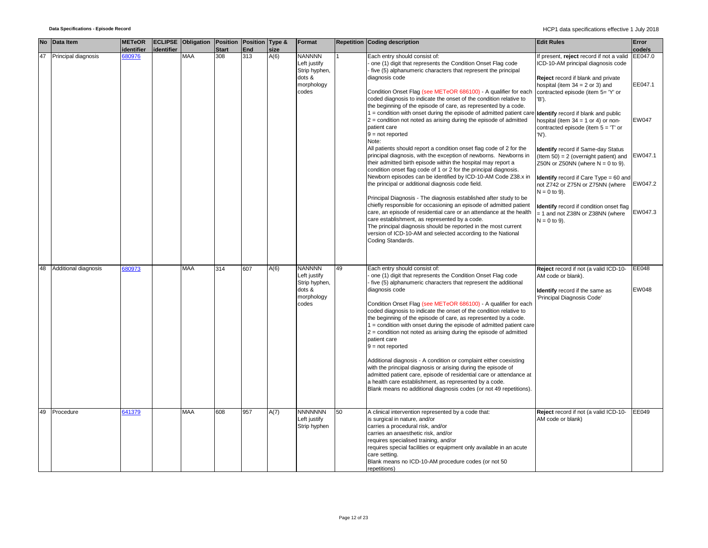| <b>No</b> | Data Item            | <b>METeOR</b>        |            | ECLIPSE Obligation Position Position Type & |                     |                         |              | Format                                                                          |    | Repetition Coding description                                                                                                                                                                                                                                                                                                                                                                                                                                                                                                                                                                                                                                                                                                                                                                  | <b>Edit Rules</b>                                                                                                                                        | Error                        |
|-----------|----------------------|----------------------|------------|---------------------------------------------|---------------------|-------------------------|--------------|---------------------------------------------------------------------------------|----|------------------------------------------------------------------------------------------------------------------------------------------------------------------------------------------------------------------------------------------------------------------------------------------------------------------------------------------------------------------------------------------------------------------------------------------------------------------------------------------------------------------------------------------------------------------------------------------------------------------------------------------------------------------------------------------------------------------------------------------------------------------------------------------------|----------------------------------------------------------------------------------------------------------------------------------------------------------|------------------------------|
| 47        | Principal diagnosis  | identifier<br>680976 | identifier | <b>MAA</b>                                  | <b>Start</b><br>308 | End<br>$\overline{313}$ | size<br>A(6) | <b>NANNNN</b><br>Left justify<br>Strip hyphen,<br>dots &<br>morphology          |    | Each entry should consist of:<br>one (1) digit that represents the Condition Onset Flag code<br>five (5) alphanumeric characters that represent the principal<br>diagnosis code                                                                                                                                                                                                                                                                                                                                                                                                                                                                                                                                                                                                                | f present, reject record if not a valid<br>ICD-10-AM principal diagnosis code<br>Reject record if blank and private<br>hospital (item $34 = 2$ or 3) and | code/s<br>EE047.0<br>EE047.1 |
|           |                      |                      |            |                                             |                     |                         |              | codes                                                                           |    | Condition Onset Flag (see METeOR 686100) - A qualifier for each<br>coded diagnosis to indicate the onset of the condition relative to<br>the beginning of the episode of care, as represented by a code.<br>1 = condition with onset during the episode of admitted patient care                                                                                                                                                                                                                                                                                                                                                                                                                                                                                                               | contracted episode (item 5= 'Y' or<br>'B').<br>Identify record if blank and public                                                                       |                              |
|           |                      |                      |            |                                             |                     |                         |              |                                                                                 |    | $2$ = condition not noted as arising during the episode of admitted<br>patient care<br>$9 = not reported$<br>Note:<br>All patients should report a condition onset flag code of 2 for the                                                                                                                                                                                                                                                                                                                                                                                                                                                                                                                                                                                                      | hospital (item $34 = 1$ or 4) or non-<br>contracted episode (item $5 = T$ or<br>'N').<br>Identify record if Same-day Status                              | <b>EW047</b>                 |
|           |                      |                      |            |                                             |                     |                         |              |                                                                                 |    | principal diagnosis, with the exception of newborns. Newborns in<br>their admitted birth episode within the hospital may report a<br>condition onset flag code of 1 or 2 for the principal diagnosis.<br>Newborn episodes can be identified by ICD-10-AM Code Z38.x in                                                                                                                                                                                                                                                                                                                                                                                                                                                                                                                         | (Item 50) = 2 (overnight patient) and<br>Z50N or Z50NN (where $N = 0$ to 9).<br><b>Identify</b> record if Care Type = 60 and                             | EW047.1                      |
|           |                      |                      |            |                                             |                     |                         |              |                                                                                 |    | the principal or additional diagnosis code field.<br>Principal Diagnosis - The diagnosis established after study to be<br>chiefly responsible for occasioning an episode of admitted patient                                                                                                                                                                                                                                                                                                                                                                                                                                                                                                                                                                                                   | not Z742 or Z75N or Z75NN (where<br>$N = 0$ to 9).<br>dentify record if condition onset flag                                                             | EW047.2                      |
|           |                      |                      |            |                                             |                     |                         |              |                                                                                 |    | care, an episode of residential care or an attendance at the health<br>care establishment, as represented by a code.<br>The principal diagnosis should be reported in the most current<br>version of ICD-10-AM and selected according to the National<br>Coding Standards.                                                                                                                                                                                                                                                                                                                                                                                                                                                                                                                     | = 1 and not Z38N or Z38NN (where<br>$N = 0$ to 9).                                                                                                       | EW047.3                      |
|           |                      |                      |            |                                             |                     |                         |              |                                                                                 |    |                                                                                                                                                                                                                                                                                                                                                                                                                                                                                                                                                                                                                                                                                                                                                                                                |                                                                                                                                                          |                              |
| 48        | Additional diagnosis | 80973                |            | MAA                                         | 314                 | 607                     | A(6)         | <b>NANNNN</b><br>Left justify<br>Strip hyphen,<br>dots &<br>morphology<br>codes | 49 | Each entry should consist of:<br>one (1) digit that represents the Condition Onset Flag code<br>five (5) alphanumeric characters that represent the additional<br>diagnosis code<br>Condition Onset Flag (see METeOR 686100) - A qualifier for each<br>coded diagnosis to indicate the onset of the condition relative to<br>the beginning of the episode of care, as represented by a code.<br>1 = condition with onset during the episode of admitted patient care<br>$2$ = condition not noted as arising during the episode of admitted<br>patient care<br>$9 = not reported$<br>Additional diagnosis - A condition or complaint either coexisting<br>with the principal diagnosis or arising during the episode of<br>admitted patient care, episode of residential care or attendance at | Reject record if not (a valid ICD-10-<br>AM code or blank).<br><b>Identify</b> record if the same as<br>Principal Diagnosis Code'                        | EE048<br><b>EW048</b>        |
|           |                      |                      |            |                                             |                     |                         |              |                                                                                 |    | a health care establishment, as represented by a code.<br>Blank means no additional diagnosis codes (or not 49 repetitions).                                                                                                                                                                                                                                                                                                                                                                                                                                                                                                                                                                                                                                                                   |                                                                                                                                                          |                              |
| 49        | Procedure            | 641379               |            | <b>MAA</b>                                  | 608                 | 957                     | A(7)         | <b>NNNNNNN</b><br>Left justify<br>Strip hyphen                                  | 50 | A clinical intervention represented by a code that:<br>is surgical in nature, and/or<br>carries a procedural risk, and/or<br>carries an anaesthetic risk, and/or<br>requires specialised training, and/or<br>requires special facilities or equipment only available in an acute<br>care setting.<br>Blank means no ICD-10-AM procedure codes (or not 50<br>repetitions)                                                                                                                                                                                                                                                                                                                                                                                                                       | Reject record if not (a valid ICD-10-<br>AM code or blank)                                                                                               | EE049                        |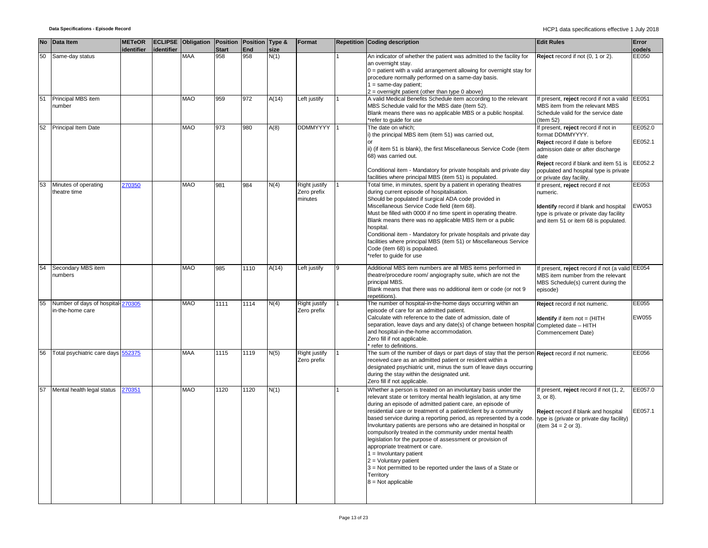|    | No Data Item                       | <b>METeOR</b>        | <b>ECLIPSE Obligation Position Position Type &amp;</b> |              |      |       | Format          | <b>Repetition Coding description</b>                                                                                                                                 | <b>Edit Rules</b>                                   | Error   |
|----|------------------------------------|----------------------|--------------------------------------------------------|--------------|------|-------|-----------------|----------------------------------------------------------------------------------------------------------------------------------------------------------------------|-----------------------------------------------------|---------|
|    |                                    | identifier dentifier |                                                        | <b>Start</b> | End  | size  |                 |                                                                                                                                                                      |                                                     | code/s  |
| 50 | Same-day status                    |                      | <b>MAA</b>                                             | 958          | 958  | N(1)  |                 | An indicator of whether the patient was admitted to the facility for<br>an overnight stay.<br>$0 =$ patient with a valid arrangement allowing for overnight stay for | Reject record if not (0, 1 or 2).                   | EE050   |
|    |                                    |                      |                                                        |              |      |       |                 | procedure normally performed on a same-day basis.<br>$1 = same-day patient;$                                                                                         |                                                     |         |
|    |                                    |                      |                                                        |              |      |       |                 | $2 =$ overnight patient (other than type 0 above)                                                                                                                    |                                                     |         |
| 51 | Principal MBS item                 |                      | <b>MAO</b>                                             | 959          | 972  | A(14) | Left justify    | A valid Medical Benefits Schedule item according to the relevant                                                                                                     | If present, reject record if not a valid EE051      |         |
|    | number                             |                      |                                                        |              |      |       |                 | MBS Schedule valid for the MBS date (Item 52).                                                                                                                       | MBS item from the relevant MBS                      |         |
|    |                                    |                      |                                                        |              |      |       |                 | Blank means there was no applicable MBS or a public hospital.                                                                                                        | Schedule valid for the service date                 |         |
|    |                                    |                      |                                                        |              |      |       |                 | refer to guide for use                                                                                                                                               | (Item 52)                                           |         |
| 52 | Principal Item Date                |                      | <b>MAO</b>                                             | 973          | 980  | A(8)  | <b>DDMMYYYY</b> | The date on which;                                                                                                                                                   | If present, reject record if not in                 | EE052.0 |
|    |                                    |                      |                                                        |              |      |       |                 | i) the principal MBS item (item 51) was carried out,                                                                                                                 | format DDMMYYYY.<br>Reject record if date is before | EE052.1 |
|    |                                    |                      |                                                        |              |      |       |                 | ii) (if item 51 is blank), the first Miscellaneous Service Code (item<br>68) was carried out.                                                                        | admission date or after discharge<br>date           |         |
|    |                                    |                      |                                                        |              |      |       |                 |                                                                                                                                                                      | Reject record if blank and item 51 is               | EE052.2 |
|    |                                    |                      |                                                        |              |      |       |                 | Conditional item - Mandatory for private hospitals and private day                                                                                                   | populated and hospital type is private              |         |
|    |                                    |                      |                                                        |              |      |       |                 | facilities where principal MBS (item 51) is populated.                                                                                                               | or private day facility.                            |         |
| 53 | Minutes of operating               | 270350               | MAO                                                    | 981          | 984  | N(4)  | Right justify   | Total time, in minutes, spent by a patient in operating theatres                                                                                                     | If present, reject record if not                    | EE053   |
|    | theatre time                       |                      |                                                        |              |      |       | Zero prefix     | during current episode of hospitalisation.                                                                                                                           | numeric.                                            |         |
|    |                                    |                      |                                                        |              |      |       | minutes         | Should be populated if surgical ADA code provided in                                                                                                                 |                                                     |         |
|    |                                    |                      |                                                        |              |      |       |                 | Miscellaneous Service Code field (item 68).                                                                                                                          | Identify record if blank and hospital               | EW053   |
|    |                                    |                      |                                                        |              |      |       |                 | Must be filled with 0000 if no time spent in operating theatre.                                                                                                      | type is private or private day facility             |         |
|    |                                    |                      |                                                        |              |      |       |                 | Blank means there was no applicable MBS Item or a public                                                                                                             | and item 51 or item 68 is populated.                |         |
|    |                                    |                      |                                                        |              |      |       |                 | hospital.                                                                                                                                                            |                                                     |         |
|    |                                    |                      |                                                        |              |      |       |                 | Conditional item - Mandatory for private hospitals and private day                                                                                                   |                                                     |         |
|    |                                    |                      |                                                        |              |      |       |                 | facilities where principal MBS (item 51) or Miscellaneous Service                                                                                                    |                                                     |         |
|    |                                    |                      |                                                        |              |      |       |                 | Code (item 68) is populated.                                                                                                                                         |                                                     |         |
|    |                                    |                      |                                                        |              |      |       |                 | refer to guide for use                                                                                                                                               |                                                     |         |
| 54 | Secondary MBS item                 |                      | MAO                                                    | 985          | 1110 | A(14) | Left justify    | Additional MBS item numbers are all MBS items performed in                                                                                                           | If present, reject record if not (a valid EE054     |         |
|    | numbers                            |                      |                                                        |              |      |       |                 | theatre/procedure room/ angiography suite, which are not the                                                                                                         | MBS item number from the relevant                   |         |
|    |                                    |                      |                                                        |              |      |       |                 | principal MBS.                                                                                                                                                       | MBS Schedule(s) current during the                  |         |
|    |                                    |                      |                                                        |              |      |       |                 | Blank means that there was no additional item or code (or not 9                                                                                                      | episode)                                            |         |
|    |                                    |                      |                                                        |              |      |       |                 | repetitions)                                                                                                                                                         |                                                     |         |
| 55 | Number of days of hospital-270305  |                      | <b>MAO</b>                                             | 1111         | 1114 | N(4)  | Right justify   | The number of hospital-in-the-home days occurring within an                                                                                                          | Reject record if not numeric.                       | EE055   |
|    | in-the-home care                   |                      |                                                        |              |      |       | Zero prefix     | episode of care for an admitted patient.                                                                                                                             |                                                     |         |
|    |                                    |                      |                                                        |              |      |       |                 | Calculate with reference to the date of admission, date of                                                                                                           | <b>Identify</b> if item not = (HITH                 | EW055   |
|    |                                    |                      |                                                        |              |      |       |                 | separation, leave days and any date(s) of change between hospital Completed date - HITH                                                                              |                                                     |         |
|    |                                    |                      |                                                        |              |      |       |                 | and hospital-in-the-home accommodation.                                                                                                                              | Commencement Date)                                  |         |
|    |                                    |                      |                                                        |              |      |       |                 | Zero fill if not applicable.                                                                                                                                         |                                                     |         |
| 56 | Total psychiatric care days 552375 |                      | MAA                                                    | 1115         | 1119 | N(5)  | Right justify   | refer to definitions.<br>The sum of the number of days or part days of stay that the person Reject record if not numeric.                                            |                                                     | EE056   |
|    |                                    |                      |                                                        |              |      |       | Zero prefix     | received care as an admitted patient or resident within a                                                                                                            |                                                     |         |
|    |                                    |                      |                                                        |              |      |       |                 | designated psychiatric unit, minus the sum of leave days occurring                                                                                                   |                                                     |         |
|    |                                    |                      |                                                        |              |      |       |                 | during the stay within the designated unit.                                                                                                                          |                                                     |         |
|    |                                    |                      |                                                        |              |      |       |                 | Zero fill if not applicable.                                                                                                                                         |                                                     |         |
| 57 | Mental health legal status         | 270351               | <b>OAM</b>                                             | 1120         | 1120 | N(1)  |                 | Whether a person is treated on an involuntary basis under the                                                                                                        | f present, reject record if not (1, 2,              | EE057.0 |
|    |                                    |                      |                                                        |              |      |       |                 | relevant state or territory mental health legislation, at any time                                                                                                   | 3, or 8).                                           |         |
|    |                                    |                      |                                                        |              |      |       |                 | during an episode of admitted patient care, an episode of                                                                                                            |                                                     |         |
|    |                                    |                      |                                                        |              |      |       |                 | residential care or treatment of a patient/client by a community                                                                                                     | Reject record if blank and hospital                 | EE057.1 |
|    |                                    |                      |                                                        |              |      |       |                 | based service during a reporting period, as represented by a code.                                                                                                   | type is (private or private day facility)           |         |
|    |                                    |                      |                                                        |              |      |       |                 | Involuntary patients are persons who are detained in hospital or                                                                                                     | (item $34 = 2$ or 3).                               |         |
|    |                                    |                      |                                                        |              |      |       |                 | compulsorily treated in the community under mental health                                                                                                            |                                                     |         |
|    |                                    |                      |                                                        |              |      |       |                 | legislation for the purpose of assessment or provision of                                                                                                            |                                                     |         |
|    |                                    |                      |                                                        |              |      |       |                 | appropriate treatment or care.                                                                                                                                       |                                                     |         |
|    |                                    |                      |                                                        |              |      |       |                 | $1 =$ Involuntary patient                                                                                                                                            |                                                     |         |
|    |                                    |                      |                                                        |              |      |       |                 | $2 =$ Voluntary patient                                                                                                                                              |                                                     |         |
|    |                                    |                      |                                                        |              |      |       |                 | 3 = Not permitted to be reported under the laws of a State or                                                                                                        |                                                     |         |
|    |                                    |                      |                                                        |              |      |       |                 | Territory                                                                                                                                                            |                                                     |         |
|    |                                    |                      |                                                        |              |      |       |                 | $8 = Not applicable$                                                                                                                                                 |                                                     |         |
|    |                                    |                      |                                                        |              |      |       |                 |                                                                                                                                                                      |                                                     |         |
|    |                                    |                      |                                                        |              |      |       |                 |                                                                                                                                                                      |                                                     |         |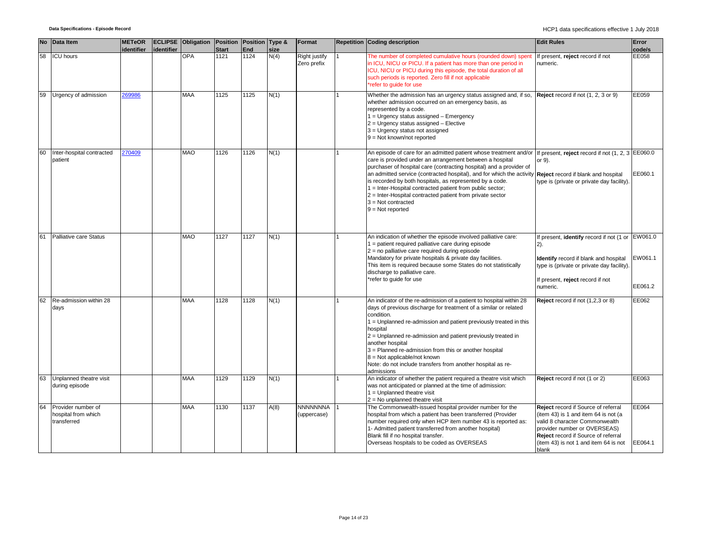|    | No Data Item                                             | <b>METeOR</b> |            | <b>ECLIPSE Obligation Position</b> |                      | Position Type & |              | Format                         | <b>Repetition Coding description</b>                                                                                                                                                                                                                                                                                                                                                                                                                                                                                                                                                                      | <b>Edit Rules</b>                                                                                                                                                                                                                      | Error              |
|----|----------------------------------------------------------|---------------|------------|------------------------------------|----------------------|-----------------|--------------|--------------------------------|-----------------------------------------------------------------------------------------------------------------------------------------------------------------------------------------------------------------------------------------------------------------------------------------------------------------------------------------------------------------------------------------------------------------------------------------------------------------------------------------------------------------------------------------------------------------------------------------------------------|----------------------------------------------------------------------------------------------------------------------------------------------------------------------------------------------------------------------------------------|--------------------|
| 58 | <b>ICU</b> hours                                         | identifier    | identifier | <b>OPA</b>                         | <b>Start</b><br>1121 | End<br>1124     | size<br>N(4) | Right justify<br>Zero prefix   | The number of completed cumulative hours (rounded down) spent<br>in ICU, NICU or PICU. If a patient has more than one period in                                                                                                                                                                                                                                                                                                                                                                                                                                                                           | If present, reject record if not<br>numeric.                                                                                                                                                                                           | code/s<br>EE058    |
|    |                                                          |               |            |                                    |                      |                 |              |                                | ICU, NICU or PICU during this episode, the total duration of all<br>such periods is reported. Zero fill if not applicable<br>*refer to guide for use                                                                                                                                                                                                                                                                                                                                                                                                                                                      |                                                                                                                                                                                                                                        |                    |
| 59 | Urgency of admission                                     | 269986        |            | <b>MAA</b>                         | 1125                 | 1125            | N(1)         |                                | Whether the admission has an urgency status assigned and, if so,<br>whether admission occurred on an emergency basis, as<br>represented by a code.<br>$1 =$ Urgency status assigned $-$ Emergency<br>2 = Urgency status assigned - Elective<br>3 = Urgency status not assigned<br>$9 = Not known/not reported$                                                                                                                                                                                                                                                                                            | Reject record if not (1, 2, 3 or 9)                                                                                                                                                                                                    | EE059              |
| 60 | Inter-hospital contracted<br>patient                     | 270409        |            | <b>MAO</b>                         | 1126                 | 1126            | N(1)         |                                | An episode of care for an admitted patient whose treatment and/or If present, reject record if not (1, 2, 3 EE060.0<br>care is provided under an arrangement between a hospital<br>purchaser of hospital care (contracting hospital) and a provider of<br>an admitted service (contracted hospital), and for which the activity Reject record if blank and hospital<br>is recorded by both hospitals, as represented by a code.<br>1 = Inter-Hospital contracted patient from public sector;<br>$2$ = Inter-Hospital contracted patient from private sector<br>$3 = Not contracted$<br>$9 = Not reported$ | or 9).<br>type is (private or private day facility).                                                                                                                                                                                   | EE060.1            |
| 61 | Palliative care Status                                   |               |            | <b>MAO</b>                         | 1127                 | 1127            | N(1)         |                                | An indication of whether the episode involved palliative care:<br>1 = patient required palliative care during episode<br>2 = no palliative care required during episode<br>Mandatory for private hospitals & private day facilities.<br>This item is required because some States do not statistically<br>discharge to palliative care.<br>*refer to guide for use                                                                                                                                                                                                                                        | If present, identify record if not (1 or EW061.0<br>$(2)$ .<br>Identify record if blank and hospital<br>type is (private or private day facility).<br>If present, reject record if not<br>numeric.                                     | EW061.1<br>EE061.2 |
| 62 | Re-admission within 28<br>days                           |               |            | <b>MAA</b>                         | 1128                 | 1128            | N(1)         |                                | An indicator of the re-admission of a patient to hospital within 28<br>days of previous discharge for treatment of a similar or related<br>condition.<br>1 = Unplanned re-admission and patient previously treated in this<br>hospital<br>$2$ = Unplanned re-admission and patient previously treated in<br>another hospital<br>3 = Planned re-admission from this or another hospital<br>$8 =$ Not applicable/not known<br>Note: do not include transfers from another hospital as re-<br>admissions                                                                                                     | Reject record if not (1,2,3 or 8)                                                                                                                                                                                                      | EE062              |
| 63 | Unplanned theatre visit<br>during episode                |               |            | <b>MAA</b>                         | 1129                 | 1129            | N(1)         |                                | An indicator of whether the patient required a theatre visit which<br>was not anticipated or planned at the time of admission:<br>$1 =$ Unplanned theatre visit<br>$2 = No$ unplanned theatre visit                                                                                                                                                                                                                                                                                                                                                                                                       | Reject record if not (1 or 2)                                                                                                                                                                                                          | EE063              |
| 64 | Provider number of<br>hospital from which<br>transferred |               |            | <b>MAA</b>                         | 1130                 | 1137            | A(8)         | <b>NNNNNNNA</b><br>(uppercase) | The Commonwealth-issued hospital provider number for the<br>hospital from which a patient has been transferred (Provider<br>number required only when HCP item number 43 is reported as:<br>1- Admitted patient transferred from another hospital)<br>Blank fill if no hospital transfer.<br>Overseas hospitals to be coded as OVERSEAS                                                                                                                                                                                                                                                                   | Reject record if Source of referral<br>(item 43) is 1 and item 64 is not (a<br>valid 8 character Commonwealth<br>provider number or OVERSEAS)<br>Reject record if Source of referral<br>(item 43) is not 1 and item 64 is not<br>blank | EE064<br>EE064.1   |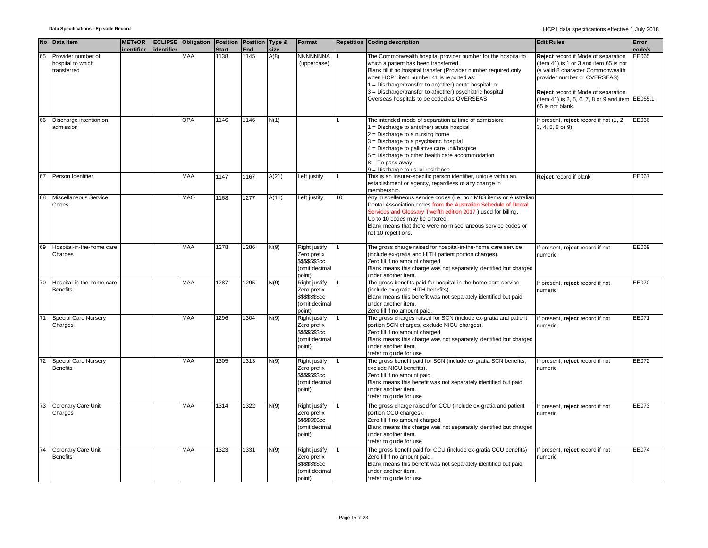|    | No Data Item                                           | <b>METeOR</b><br>identifier | lidentifier | <b>ECLIPSE Obligation Position</b> | <b>Start</b> | Position Type &<br><b>End</b> | size  | Format                                                                             |    | <b>Repetition Coding description</b>                                                                                                                                                                                                                                                                                                                                                          | <b>Edit Rules</b>                                                                                                                                                                                                                                                 | Error<br>code/s |
|----|--------------------------------------------------------|-----------------------------|-------------|------------------------------------|--------------|-------------------------------|-------|------------------------------------------------------------------------------------|----|-----------------------------------------------------------------------------------------------------------------------------------------------------------------------------------------------------------------------------------------------------------------------------------------------------------------------------------------------------------------------------------------------|-------------------------------------------------------------------------------------------------------------------------------------------------------------------------------------------------------------------------------------------------------------------|-----------------|
| 65 | Provider number of<br>hospital to which<br>transferred |                             |             | <b>MAA</b>                         | 1138         | 1145                          | A(8)  | NNNNNNNA<br>(uppercase)                                                            |    | The Commonwealth hospital provider number for the hospital to<br>which a patient has been transferred.<br>Blank fill if no hospital transfer (Provider number required only<br>when HCP1 item number 41 is reported as:<br>$1 = Discharge/transfer$ to an(other) acute hospital, or<br>3 = Discharge/transfer to a(nother) psychiatric hospital<br>Overseas hospitals to be coded as OVERSEAS | Reject record if Mode of separation<br>(item 41) is 1 or 3 and item 65 is not<br>(a valid 8 character Commonwealth<br>provider number or OVERSEAS)<br>Reject record if Mode of separation<br>(item 41) is 2, 5, 6, 7, 8 or 9 and item EE065.1<br>65 is not blank. | EE065           |
| 66 | Discharge intention on<br>admission                    |                             |             | OPA                                | 1146         | 1146                          | N(1)  |                                                                                    |    | The intended mode of separation at time of admission:<br>$1 = Discharge$ to an(other) acute hospital<br>$2 =$ Discharge to a nursing home<br>3 = Discharge to a psychiatric hospital<br>$4$ = Discharge to palliative care unit/hospice<br>5 = Discharge to other health care accommodation<br>$8 = To pass away$<br>$9 =$ Discharge to usual residence                                       | If present, reject record if not (1, 2,<br>3, 4, 5, 8 or 9)                                                                                                                                                                                                       | EE066           |
| 67 | Person Identifier                                      |                             |             | <b>MAA</b>                         | 1147         | 1167                          | A(21) | Left justify                                                                       |    | This is an Insurer-specific person identifier, unique within an<br>establishment or agency, regardless of any change in<br>membership.                                                                                                                                                                                                                                                        | Reject record if blank                                                                                                                                                                                                                                            | EE067           |
| 68 | Miscellaneous Service<br>Codes                         |                             |             | <b>MAO</b>                         | 1168         | 1277                          | A(11) | Left justify                                                                       | 10 | Any miscellaneous service codes (i.e. non MBS items or Australian<br>Dental Association codes from the Australian Schedule of Dental<br>Services and Glossary Twelfth edition 2017) used for billing.<br>Up to 10 codes may be entered.<br>Blank means that there were no miscellaneous service codes or<br>not 10 repetitions.                                                               |                                                                                                                                                                                                                                                                   |                 |
| 69 | Hospital-in-the-home care<br>Charges                   |                             |             | <b>MAA</b>                         | 1278         | 1286                          | N(9)  | Right justify<br>Zero prefix<br>\$\$\$\$\$\$\$cc<br>(omit decimal<br>point)        |    | The gross charge raised for hospital-in-the-home care service<br>(include ex-gratia and HITH patient portion charges).<br>Zero fill if no amount charged.<br>Blank means this charge was not separately identified but charged<br>under another item.                                                                                                                                         | f present, reject record if not<br>numeric                                                                                                                                                                                                                        | EE069           |
| 70 | Hospital-in-the-home care<br><b>Benefits</b>           |                             |             | MAA                                | 1287         | 1295                          | N(9)  | Right justify<br>Zero prefix<br>\$\$\$\$\$\$\$cc<br>(omit decimal<br>point)        |    | The gross benefits paid for hospital-in-the-home care service<br>(include ex-gratia HITH benefits).<br>Blank means this benefit was not separately identified but paid<br>under another item.<br>Zero fill if no amount paid.                                                                                                                                                                 | f present, reject record if not<br>numeric                                                                                                                                                                                                                        | EE070           |
| 71 | <b>Special Care Nursery</b><br>Charges                 |                             |             | <b>MAA</b>                         | 1296         | 1304                          | N(9)  | Right justify<br>Zero prefix<br><b>\$\$\$\$\$\$\$cc</b><br>(omit decimal<br>point) |    | The gross charges raised for SCN (include ex-gratia and patient<br>portion SCN charges, exclude NICU charges).<br>Zero fill if no amount charged.<br>Blank means this charge was not separately identified but charged<br>under another item.<br>*refer to quide for use                                                                                                                      | f present, reject record if not<br>numeric                                                                                                                                                                                                                        | EE071           |
| 72 | Special Care Nursery<br><b>Benefits</b>                |                             |             | MAA                                | 1305         | 1313                          | N(9)  | Right justify<br>Zero prefix<br><b>\$\$\$\$\$\$\$cc</b><br>(omit decimal<br>point) |    | The gross benefit paid for SCN (include ex-gratia SCN benefits,<br>exclude NICU benefits).<br>Zero fill if no amount paid.<br>Blank means this benefit was not separately identified but paid<br>under another item.<br>*refer to guide for use                                                                                                                                               | f present, reject record if not<br>numeric                                                                                                                                                                                                                        | EE072           |
| 73 | Coronary Care Unit<br>Charges                          |                             |             | MAA                                | 1314         | 1322                          | N(9)  | Right justify<br>Zero prefix<br>\$\$\$\$\$\$\$cc<br>(omit decimal<br>point)        |    | The gross charge raised for CCU (include ex-gratia and patient<br>portion CCU charges).<br>Zero fill if no amount charged.<br>Blank means this charge was not separately identified but charged<br>under another item.<br>*refer to guide for use                                                                                                                                             | f present, reject record if not<br>numeric                                                                                                                                                                                                                        | EE073           |
| 74 | Coronary Care Unit<br><b>Benefits</b>                  |                             |             | MAA                                | 1323         | 1331                          | N(9)  | Right justify<br>Zero prefix<br>\$\$\$\$\$\$\$cc<br>(omit decimal<br>point)        |    | The gross benefit paid for CCU (include ex-gratia CCU benefits)<br>Zero fill if no amount paid.<br>Blank means this benefit was not separately identified but paid<br>under another item.<br>*refer to guide for use                                                                                                                                                                          | If present, reject record if not<br>numeric                                                                                                                                                                                                                       | EE074           |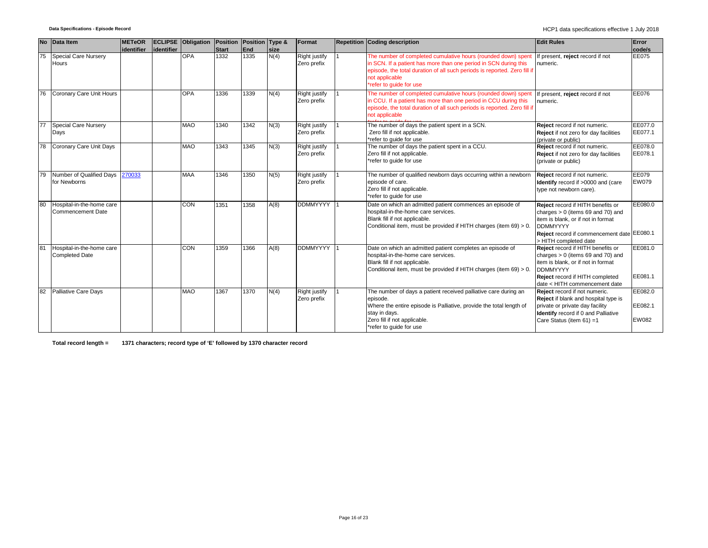| <b>No</b> | Data Item                                          | <b>METeOR</b> |             | <b>ECLIPSE</b> Obligation | Position      | Position Type & |              | Format                              | Repetition Coding description                                                                                                                                                                                                                               | <b>Edit Rules</b>                                                                                                                                                                                            | Error                              |
|-----------|----------------------------------------------------|---------------|-------------|---------------------------|---------------|-----------------|--------------|-------------------------------------|-------------------------------------------------------------------------------------------------------------------------------------------------------------------------------------------------------------------------------------------------------------|--------------------------------------------------------------------------------------------------------------------------------------------------------------------------------------------------------------|------------------------------------|
| 75        | <b>Special Care Nursery</b><br>Hours               | identifier    | lidentifier | <b>OPA</b>                | Start<br>1332 | End<br>1335     | size<br>N(4) | Right justify<br>Zero prefix        | The number of completed cumulative hours (rounded down) spent<br>in SCN. If a patient has more than one period in SCN during this<br>episode, the total duration of all such periods is reported. Zero fill if<br>not applicable<br>*refer to quide for use | If present, reject record if not<br>numeric.                                                                                                                                                                 | code/s<br>EE075                    |
| 76        | Coronary Care Unit Hours                           |               |             | <b>OPA</b>                | 1336          | 1339            | N(4)         | <b>Right justify</b><br>Zero prefix | The number of completed cumulative hours (rounded down) spen<br>in CCU. If a patient has more than one period in CCU during this<br>episode, the total duration of all such periods is reported. Zero fill if<br>not applicable                             | If present, reject record if not<br>numeric.                                                                                                                                                                 | EE076                              |
|           | <b>Special Care Nursery</b><br>Days                |               |             | <b>MAO</b>                | 1340          | 1342            | N(3)         | Right justify<br>Zero prefix        | The number of days the patient spent in a SCN.<br>Zero fill if not applicable.<br>*refer to quide for use                                                                                                                                                   | Reject record if not numeric.<br>Reject if not zero for day facilities<br>(private or public)                                                                                                                | EE077.0<br>EE077.1                 |
| 78        | Coronary Care Unit Days                            |               |             | <b>MAO</b>                | 1343          | 1345            | N(3)         | <b>Right justify</b><br>Zero prefix | The number of days the patient spent in a CCU.<br>Zero fill if not applicable.<br>*refer to quide for use                                                                                                                                                   | Reject record if not numeric.<br>Reject if not zero for day facilities<br>(private or public)                                                                                                                | EE078.0<br>EE078.1                 |
| 79        | Number of Qualified Days 270033<br>for Newborns    |               |             | <b>MAA</b>                | 1346          | 1350            | N(5)         | Right justify<br>Zero prefix        | The number of qualified newborn days occurring within a newborn<br>episode of care.<br>Zero fill if not applicable.<br>*refer to quide for use                                                                                                              | Reject record if not numeric.<br>Identify record if >0000 and (care<br>type not newborn care).                                                                                                               | EE079<br><b>EW079</b>              |
| 80        | Hospital-in-the-home care<br>Commencement Date     |               |             | <b>CON</b>                | 1351          | 1358            | A(8)         | <b>DDMMYYYY</b>                     | Date on which an admitted patient commences an episode of<br>hospital-in-the-home care services.<br>Blank fill if not applicable.<br>Conditional item, must be provided if HITH charges (item 69) > 0.                                                      | Reject record if HITH benefits or<br>charges $> 0$ (items 69 and 70) and<br>item is blank, or if not in format<br><b>DDMMYYYY</b><br>Reject record if commencement date EE080.1<br>> HITH completed date     | EE080.0                            |
| 81        | Hospital-in-the-home care<br><b>Completed Date</b> |               |             | CON                       | 1359          | 1366            | A(8)         | <b>DDMMYYYY</b>                     | Date on which an admitted patient completes an episode of<br>hospital-in-the-home care services.<br>Blank fill if not applicable.<br>Conditional item, must be provided if HITH charges (item 69) > 0.                                                      | <b>Reject</b> record if HITH benefits or<br>charges $> 0$ (items 69 and 70) and<br>item is blank, or if not in format<br><b>DDMMYYYY</b><br>Reject record if HITH completed<br>date < HITH commencement date | EE081.0<br>EE081.1                 |
| 82        | <b>Palliative Care Days</b>                        |               |             | <b>MAO</b>                | 1367          | 1370            | N(4)         | <b>Right justify</b><br>Zero prefix | The number of days a patient received palliative care during an<br>episode.<br>Where the entire episode is Palliative, provide the total length of<br>stay in days.<br>Zero fill if not applicable.<br>*refer to guide for use                              | Reject record if not numeric.<br>Reject if blank and hospital type is<br>private or private day facility<br><b>Identify</b> record if 0 and Palliative<br>Care Status (item 61) =1                           | EE082.0<br>EE082.1<br><b>EW082</b> |

**Total record length = 1371 characters; record type of 'E' followed by 1370 character record**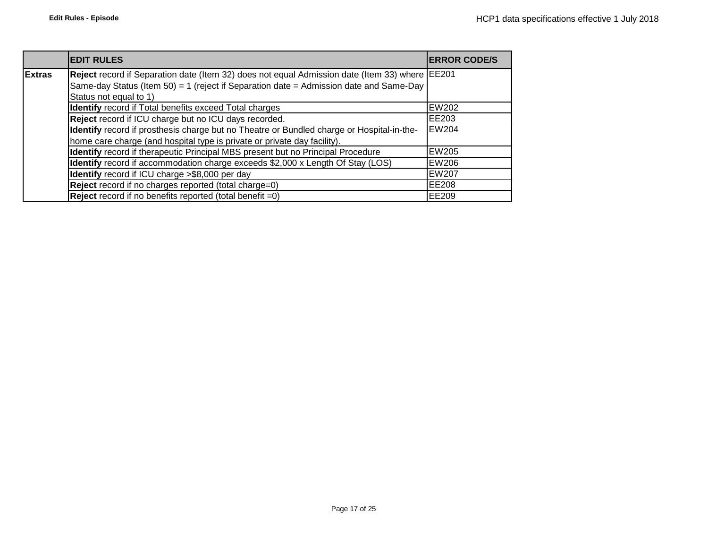|               | <b>EDIT RULES</b>                                                                              | <b>ERROR CODE/S</b> |
|---------------|------------------------------------------------------------------------------------------------|---------------------|
| <b>Extras</b> | Reject record if Separation date (Item 32) does not equal Admission date (Item 33) where EE201 |                     |
|               | Same-day Status (Item 50) = 1 (reject if Separation date = Admission date and Same-Day         |                     |
|               | Status not equal to 1)                                                                         |                     |
|               | <b>Identify</b> record if Total benefits exceed Total charges                                  | <b>EW202</b>        |
|               | Reject record if ICU charge but no ICU days recorded.                                          | EE203               |
|               | Identify record if prosthesis charge but no Theatre or Bundled charge or Hospital-in-the-      | <b>EW204</b>        |
|               | home care charge (and hospital type is private or private day facility).                       |                     |
|               | Identify record if therapeutic Principal MBS present but no Principal Procedure                | <b>EW205</b>        |
|               | Identify record if accommodation charge exceeds \$2,000 x Length Of Stay (LOS)                 | EW206               |
|               | Identify record if ICU charge >\$8,000 per day                                                 | <b>EW207</b>        |
|               | Reject record if no charges reported (total charge=0)                                          | EE208               |
|               | <b>Reject</b> record if no benefits reported (total benefit $=0$ )                             | EE209               |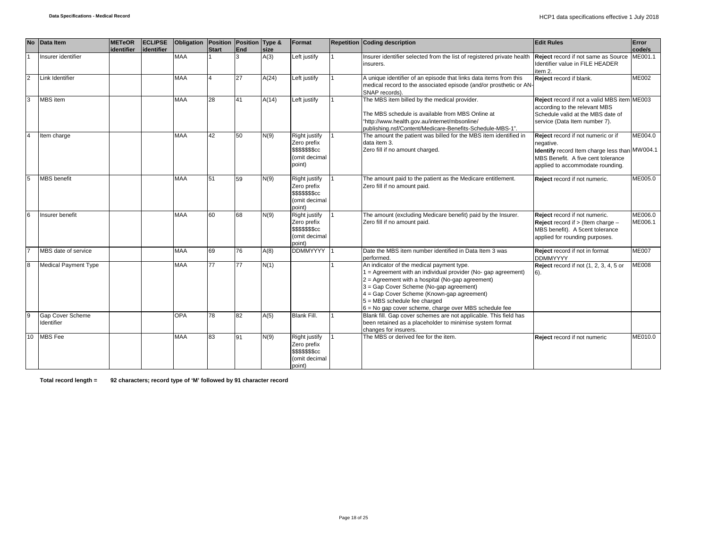| <b>No</b>      | Data Item                      | <b>METeOR</b> | <b>ECLIPSE</b> | Obligation Position Position Type & |       |     |       | Format                                                                                    | <b>Repetition Coding description</b>                                                                                                                                                                                                                                                                                                                   | <b>Edit Rules</b>                                                                                                                                                          | Error              |
|----------------|--------------------------------|---------------|----------------|-------------------------------------|-------|-----|-------|-------------------------------------------------------------------------------------------|--------------------------------------------------------------------------------------------------------------------------------------------------------------------------------------------------------------------------------------------------------------------------------------------------------------------------------------------------------|----------------------------------------------------------------------------------------------------------------------------------------------------------------------------|--------------------|
|                |                                | identifier    | identifier     |                                     | Start | End | size  |                                                                                           |                                                                                                                                                                                                                                                                                                                                                        |                                                                                                                                                                            | code/s             |
|                | Insurer identifier             |               |                | <b>MAA</b>                          |       | 3   | A(3)  | Left justify                                                                              | Insurer identifier selected from the list of registered private health<br>insurers.                                                                                                                                                                                                                                                                    | Reject record if not same as Source<br>Identifier value in FILE HEADER<br>item 2.                                                                                          | ME001.1            |
| $\overline{2}$ | Link Identifier                |               |                | <b>MAA</b>                          |       | 27  | A(24) | Left justify                                                                              | A unique identifier of an episode that links data items from this<br>medical record to the associated episode (and/or prosthetic or AN-<br>SNAP records).                                                                                                                                                                                              | Reject record if blank.                                                                                                                                                    | <b>ME002</b>       |
| 3              | MBS item                       |               |                | <b>MAA</b>                          | 28    | 41  | A(14) | Left justify                                                                              | The MBS item billed by the medical provider.<br>The MBS schedule is available from MBS Online at<br>"http://www.health.gov.au/internet/mbsonline/<br>publishing.nsf/Content/Medicare-Benefits-Schedule-MBS-1".                                                                                                                                         | Reject record if not a valid MBS item ME003<br>according to the relevant MBS<br>Schedule valid at the MBS date of<br>service (Data Item number 7).                         |                    |
|                | Item charge                    |               |                | <b>MAA</b>                          | 42    | 50  | N(9)  | Right justify<br>Zero prefix<br>\$\$\$\$\$\$\$cc<br>(omit decimal<br>point)               | The amount the patient was billed for the MBS item identified in<br>data item 3.<br>Zero fill if no amount charged.                                                                                                                                                                                                                                    | Reject record if not numeric or if<br>negative.<br>Identify record Item charge less than MW004.1<br>MBS Benefit. A five cent tolerance<br>applied to accommodate rounding. | ME004.0            |
| 5              | <b>MBS</b> benefit             |               |                | <b>MAA</b>                          | 51    | 59  | N(9)  | Right justify<br>Zero prefix<br>\$\$\$\$\$\$\$cc<br>(omit decimal<br>point)               | The amount paid to the patient as the Medicare entitlement.<br>Zero fill if no amount paid.                                                                                                                                                                                                                                                            | Reject record if not numeric.                                                                                                                                              | ME005.0            |
| 6              | Insurer benefit                |               |                | <b>MAA</b>                          | 60    | 68  | N(9)  | <b>Right justify</b><br>Zero prefix<br><b>\$\$\$\$\$\$\$cc</b><br>(omit decimal<br>point) | The amount (excluding Medicare benefit) paid by the Insurer.<br>Zero fill if no amount paid.                                                                                                                                                                                                                                                           | Reject record if not numeric.<br><b>Reject</b> record if $>$ (Item charge $-$<br>MBS benefit). A 5cent tolerance<br>applied for rounding purposes.                         | ME006.0<br>ME006.1 |
|                | MBS date of service            |               |                | <b>MAA</b>                          | 69    | 76  | A(8)  | DDMMYYYY 1                                                                                | Date the MBS item number identified in Data Item 3 was<br>performed.                                                                                                                                                                                                                                                                                   | Reject record if not in format<br><b>DDMMYYYY</b>                                                                                                                          | <b>ME007</b>       |
| 8              | <b>Medical Payment Type</b>    |               |                | <b>MAA</b>                          | 77    | 77  | N(1)  |                                                                                           | An indicator of the medical payment type.<br>1 = Agreement with an individual provider (No- gap agreement)<br>$2$ = Agreement with a hospital (No-gap agreement)<br>3 = Gap Cover Scheme (No-gap agreement)<br>4 = Gap Cover Scheme (Known-gap agreement)<br>$5 = MBS$ schedule fee charged<br>$6$ = No gap cover scheme, charge over MBS schedule fee | <b>Reject</b> record if not (1, 2, 3, 4, 5 or<br>$6$ ).                                                                                                                    | ME008              |
| 9              | Gap Cover Scheme<br>Identifier |               |                | OPA                                 | 78    | 82  | A(5)  | Blank Fill.                                                                               | Blank fill. Gap cover schemes are not applicable. This field has<br>been retained as a placeholder to minimise system format<br>changes for insurers.                                                                                                                                                                                                  |                                                                                                                                                                            |                    |
|                | 10 MBS Fee                     |               |                | <b>MAA</b>                          | 83    | 91  | N(9)  | Right justify<br>Zero prefix<br>\$\$\$\$\$\$\$cc<br>(omit decimal<br>point)               | The MBS or derived fee for the item.                                                                                                                                                                                                                                                                                                                   | Reject record if not numeric                                                                                                                                               | ME010.0            |

**Total record length = 92 characters; record type of 'M' followed by 91 character record**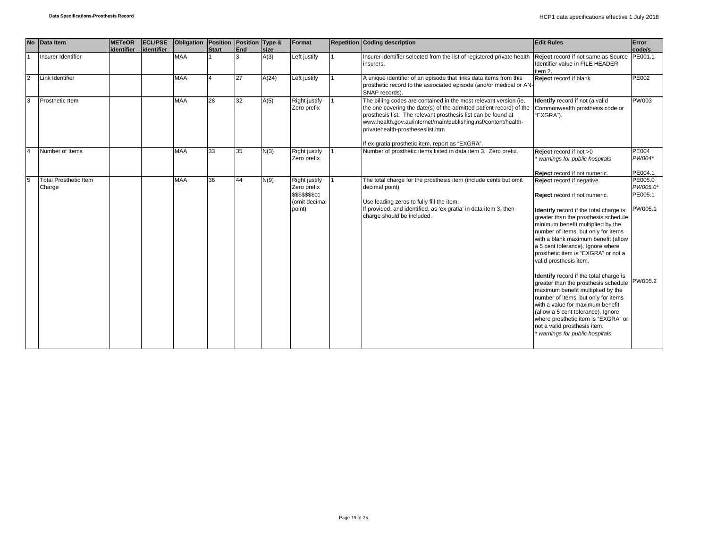|                | No Data Item                           | <b>METeOR</b> | <b>ECLIPSE</b> | Obligation   Position   Position   Type & |              |     |       | Format                                                                             | <b>Repetition Coding description</b>                                                                                                                                                                                                                                                                            | <b>Edit Rules</b>                                                                                                                                                                                                                                                                                                                                                                                                                                                                                                                                                                                                                                                                                                                     | Error                                     |
|----------------|----------------------------------------|---------------|----------------|-------------------------------------------|--------------|-----|-------|------------------------------------------------------------------------------------|-----------------------------------------------------------------------------------------------------------------------------------------------------------------------------------------------------------------------------------------------------------------------------------------------------------------|---------------------------------------------------------------------------------------------------------------------------------------------------------------------------------------------------------------------------------------------------------------------------------------------------------------------------------------------------------------------------------------------------------------------------------------------------------------------------------------------------------------------------------------------------------------------------------------------------------------------------------------------------------------------------------------------------------------------------------------|-------------------------------------------|
|                |                                        | identifier    | lidentifier    |                                           | <b>Start</b> | End | size  |                                                                                    |                                                                                                                                                                                                                                                                                                                 |                                                                                                                                                                                                                                                                                                                                                                                                                                                                                                                                                                                                                                                                                                                                       | code/s                                    |
|                | Insurer Identifier                     |               |                | <b>MAA</b>                                |              | 3   | A(3)  | Left justify                                                                       | Insurer identifier selected from the list of registered private health<br>insurers.                                                                                                                                                                                                                             | Reject record if not same as Source PE001.1<br>Identifier value in FILE HEADER<br>item 2.                                                                                                                                                                                                                                                                                                                                                                                                                                                                                                                                                                                                                                             |                                           |
| $\overline{2}$ | Link Identifier                        |               |                | <b>MAA</b>                                |              | 27  | A(24) | Left justify                                                                       | A unique identifier of an episode that links data items from this<br>prosthetic record to the associated episode (and/or medical or AN-<br>SNAP records).                                                                                                                                                       | Reject record if blank                                                                                                                                                                                                                                                                                                                                                                                                                                                                                                                                                                                                                                                                                                                | <b>PE002</b>                              |
| 3              | Prosthetic Item                        |               |                | <b>MAA</b>                                | 28           | 32  | A(5)  | Right justify<br>Zero prefix                                                       | The billing codes are contained in the most relevant version (ie,<br>the one covering the date(s) of the admitted patient record) of the<br>prosthesis list. The relevant prosthesis list can be found at<br>www.health.gov.au/internet/main/publishing.nsf/content/health-<br>privatehealth-prostheseslist.htm | Identify record if not (a valid<br>Commonwealth prosthesis code or<br>"EXGRA").                                                                                                                                                                                                                                                                                                                                                                                                                                                                                                                                                                                                                                                       | <b>PW003</b>                              |
|                |                                        |               |                |                                           |              |     |       |                                                                                    | If ex-gratia prosthetic item, report as "EXGRA".                                                                                                                                                                                                                                                                |                                                                                                                                                                                                                                                                                                                                                                                                                                                                                                                                                                                                                                                                                                                                       |                                           |
|                | Number of Items                        |               |                | <b>MAA</b>                                | 33           | 35  | N(3)  | Right justify<br>Zero prefix                                                       | Number of prosthetic items listed in data item 3. Zero prefix.                                                                                                                                                                                                                                                  | Reject record if not >0<br>warnings for public hospitals                                                                                                                                                                                                                                                                                                                                                                                                                                                                                                                                                                                                                                                                              | <b>PE004</b><br>PW004*                    |
|                |                                        |               |                |                                           |              |     |       |                                                                                    |                                                                                                                                                                                                                                                                                                                 | Reject record if not numeric.                                                                                                                                                                                                                                                                                                                                                                                                                                                                                                                                                                                                                                                                                                         | PE004.1                                   |
| 5              | <b>Total Prosthetic Item</b><br>Charge |               |                | <b>MAA</b>                                | 36           | 44  | N(9)  | Right justify<br>Zero prefix<br><b>\$\$\$\$\$\$\$cc</b><br>(omit decimal<br>point) | The total charge for the prosthesis item (include cents but omit<br>decimal point).<br>Use leading zeros to fully fill the item.<br>If provided, and identified, as 'ex gratia' in data item 3, then<br>charge should be included.                                                                              | Reject record if negative.<br>Reject record if not numeric.<br>Identify record if the total charge is<br>greater than the prosthesis schedule<br>minimum benefit multiplied by the<br>number of items, but only for items<br>with a blank maximum benefit (allow<br>a 5 cent tolerance). Ignore where<br>prosthetic item is "EXGRA" or not a<br>valid prosthesis item.<br><b>Identify</b> record if the total charge is<br>greater than the prosthesis schedule PW005.2<br>maximum benefit multiplied by the<br>number of items, but only for items<br>with a value for maximum benefit<br>(allow a 5 cent tolerance). Ignore<br>where prosthetic item is "EXGRA" or<br>not a valid prosthesis item.<br>warnings for public hospitals | PE005.0<br>PW005.0*<br>PE005.1<br>PW005.1 |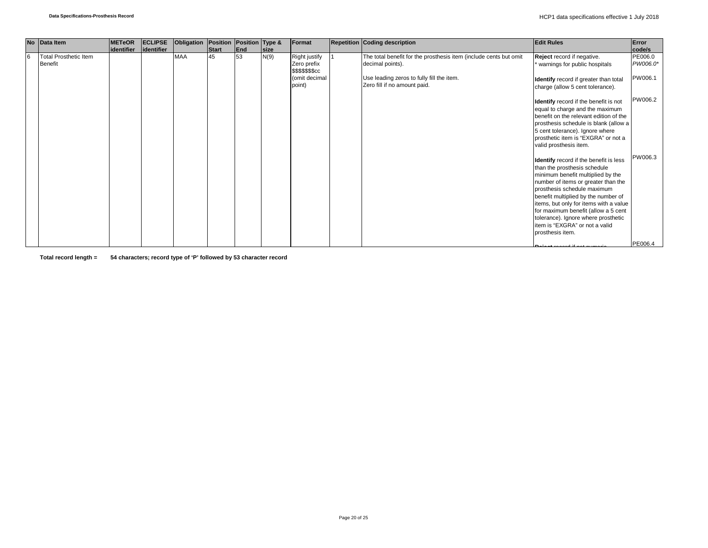|    | No Data Item                                   | <b>METeOR</b> | <b>ECLIPSE</b> | Obligation Position Position Type & |       |     |             | Format                                                                             | <b>Repetition Coding description</b>                                                                                                                               | <b>Edit Rules</b>                                                                                                                                                                                                                                                                                                                                                                                      | Error                          |
|----|------------------------------------------------|---------------|----------------|-------------------------------------|-------|-----|-------------|------------------------------------------------------------------------------------|--------------------------------------------------------------------------------------------------------------------------------------------------------------------|--------------------------------------------------------------------------------------------------------------------------------------------------------------------------------------------------------------------------------------------------------------------------------------------------------------------------------------------------------------------------------------------------------|--------------------------------|
|    |                                                | lidentifier   | identifier     |                                     | Start | End | <b>Size</b> |                                                                                    |                                                                                                                                                                    |                                                                                                                                                                                                                                                                                                                                                                                                        | code/s                         |
| 16 | <b>Total Prosthetic Item</b><br><b>Benefit</b> |               |                | <b>MAA</b>                          | 45    | 53  | N(9)        | Right justify<br>Zero prefix<br><b>\$\$\$\$\$\$\$cc</b><br>(omit decimal<br>point) | The total benefit for the prosthesis item (include cents but omit<br>decimal points).<br>Use leading zeros to fully fill the item.<br>Zero fill if no amount paid. | Reject record if negative.<br>warnings for public hospitals<br>Identify record if greater than total<br>charge (allow 5 cent tolerance).                                                                                                                                                                                                                                                               | PE006.0<br>PW006.0*<br>PW006.1 |
|    |                                                |               |                |                                     |       |     |             |                                                                                    |                                                                                                                                                                    | Identify record if the benefit is not<br>equal to charge and the maximum<br>benefit on the relevant edition of the<br>prosthesis schedule is blank (allow a<br>5 cent tolerance). Ignore where<br>prosthetic item is "EXGRA" or not a<br>valid prosthesis item.                                                                                                                                        | PW006.2                        |
|    |                                                |               |                |                                     |       |     |             |                                                                                    |                                                                                                                                                                    | Identify record if the benefit is less<br>than the prosthesis schedule<br>minimum benefit multiplied by the<br>number of items or greater than the<br>prosthesis schedule maximum<br>benefit multiplied by the number of<br>items, but only for items with a value<br>for maximum benefit (allow a 5 cent<br>tolerance). Ignore where prosthetic<br>item is "EXGRA" or not a valid<br>prosthesis item. | PW006.3                        |
|    |                                                |               |                |                                     |       |     |             |                                                                                    |                                                                                                                                                                    |                                                                                                                                                                                                                                                                                                                                                                                                        | PE006.4                        |

**Total record length = 54 characters; record type of 'P' followed by 53 character record**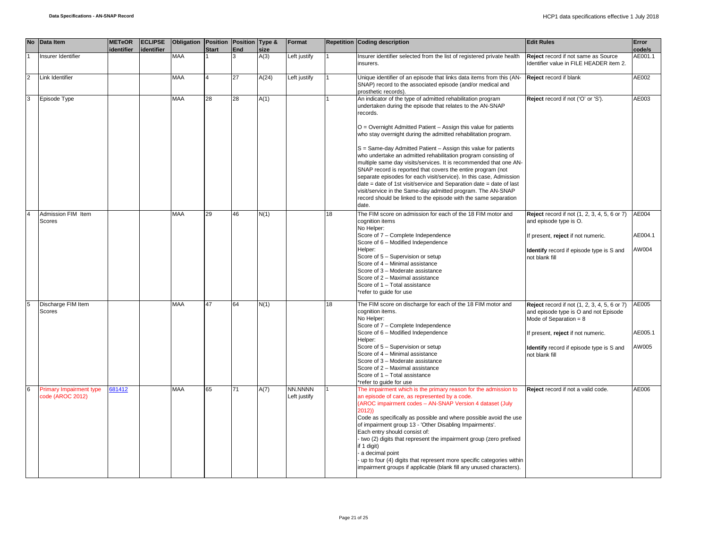|                | No Data Item  |                                                    | <b>METeOR</b><br>identifier | <b>ECLIPSE</b><br>identifier | Obligation   Position   Position   Type & | <b>Start</b> | End | size  | Format                  |    | <b>Repetition Coding description</b>                                                                                                                                                                                                                                                                                                                                                                                                                                                                                                                                                                                                                                                                                                                                                                                                      | <b>Edit Rules</b>                                                                                                                                                                                                     | Error<br>code/s           |
|----------------|---------------|----------------------------------------------------|-----------------------------|------------------------------|-------------------------------------------|--------------|-----|-------|-------------------------|----|-------------------------------------------------------------------------------------------------------------------------------------------------------------------------------------------------------------------------------------------------------------------------------------------------------------------------------------------------------------------------------------------------------------------------------------------------------------------------------------------------------------------------------------------------------------------------------------------------------------------------------------------------------------------------------------------------------------------------------------------------------------------------------------------------------------------------------------------|-----------------------------------------------------------------------------------------------------------------------------------------------------------------------------------------------------------------------|---------------------------|
|                |               | Insurer Identifier                                 |                             |                              | <b>MAA</b>                                |              | 3   | A(3)  | Left justify            |    | nsurer identifier selected from the list of registered private health<br>insurers.                                                                                                                                                                                                                                                                                                                                                                                                                                                                                                                                                                                                                                                                                                                                                        | Reject record if not same as Source<br>Identifier value in FILE HEADER item 2.                                                                                                                                        | AE001.1                   |
| $\overline{2}$ |               | Link Identifier                                    |                             |                              | MAA                                       |              | 27  | A(24) | eft justify.            |    | Unique identifier of an episode that links data items from this (AN-<br>SNAP) record to the associated episode (and/or medical and<br>prosthetic records).                                                                                                                                                                                                                                                                                                                                                                                                                                                                                                                                                                                                                                                                                | Reject record if blank                                                                                                                                                                                                | AE002                     |
| 3              |               | Episode Type                                       |                             |                              | <b>MAA</b>                                | 28           | 28  | A(1)  |                         |    | An indicator of the type of admitted rehabilitation program<br>undertaken during the episode that relates to the AN-SNAP<br>records.<br>O = Overnight Admitted Patient - Assign this value for patients<br>who stay overnight during the admitted rehabilitation program.<br>S = Same-day Admitted Patient - Assign this value for patients<br>who undertake an admitted rehabilitation program consisting of<br>multiple same day visits/services. It is recommended that one AN-<br>SNAP record is reported that covers the entire program (not<br>separate episodes for each visit/service). In this case, Admission<br>date = date of 1st visit/service and Separation date = date of last<br>visit/service in the Same-day admitted program. The AN-SNAP<br>record should be linked to the episode with the same separation<br>date. | Reject record if not ('O' or 'S').                                                                                                                                                                                    | AE003                     |
|                | <b>Scores</b> | Admission FIM Item                                 |                             |                              | <b>MAA</b>                                | 29           | 46  | N(1)  |                         | 18 | The FIM score on admission for each of the 18 FIM motor and<br>cognition items<br>No Helper:<br>Score of 7 - Complete Independence<br>Score of 6 - Modified Independence<br>Helper:<br>Score of 5 - Supervision or setup<br>Score of 4 - Minimal assistance<br>Score of 3 - Moderate assistance<br>Score of 2 - Maximal assistance<br>Score of 1 - Total assistance<br>*refer to guide for use                                                                                                                                                                                                                                                                                                                                                                                                                                            | Reject record if not (1, 2, 3, 4, 5, 6 or 7)<br>and episode type is O.<br>If present, reject if not numeric.<br>Identify record if episode type is S and<br>not blank fill                                            | AE004<br>AE004.1<br>AW004 |
| $\overline{5}$ | <b>Scores</b> | Discharge FIM Item                                 |                             |                              | <b>MAA</b>                                | 47           | 64  | N(1)  |                         | 18 | The FIM score on discharge for each of the 18 FIM motor and<br>cognition items.<br>No Helper:<br>Score of 7 - Complete Independence<br>Score of 6 - Modified Independence<br>Helper:<br>Score of 5 - Supervision or setup<br>Score of 4 - Minimal assistance<br>Score of 3 - Moderate assistance<br>Score of 2 - Maximal assistance<br>Score of 1 - Total assistance<br>*refer to guide for use                                                                                                                                                                                                                                                                                                                                                                                                                                           | Reject record if not (1, 2, 3, 4, 5, 6 or 7)<br>and episode type is O and not Episode<br>Mode of Separation = $8$<br>If present, reject if not numeric.<br>Identify record if episode type is S and<br>not blank fill | AE005<br>AE005.1<br>AW005 |
| 6              |               | <b>Primary Impairment type</b><br>code (AROC 2012) | 681412                      |                              | <b>MAA</b>                                | 65           | 71  | A(7)  | NN.NNNN<br>Left justify |    | The impairment which is the primary reason for the admission to<br>an episode of care, as represented by a code.<br>(AROC impairment codes - AN-SNAP Version 4 dataset (July<br>2012))<br>Code as specifically as possible and where possible avoid the use<br>of impairment group 13 - 'Other Disabling Impairments'.<br>Each entry should consist of:<br>- two (2) digits that represent the impairment group (zero prefixed<br>if 1 digit)<br>a decimal point<br>up to four (4) digits that represent more specific categories within<br>impairment groups if applicable (blank fill any unused characters).                                                                                                                                                                                                                           | Reject record if not a valid code.                                                                                                                                                                                    | AE006                     |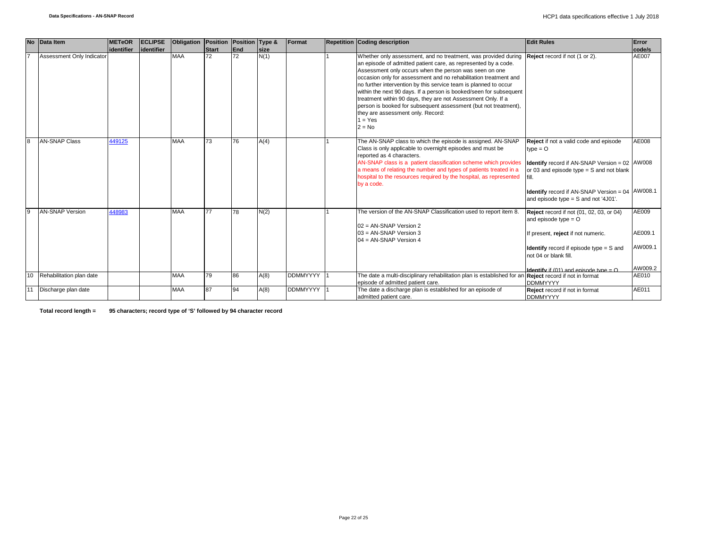|    | No Data Item              | <b>METeOR</b> | <b>ECLIPSE</b> | <b>Obligation</b> | Position | Position Type & |      | Format          | <b>Repetition Coding description</b>                                                                                                                                                                                                                                                                                                                                                                                                                                                                                                                                                                      | <b>Edit Rules</b>                                                                                                                                                                                                                                                                | Error                                  |
|----|---------------------------|---------------|----------------|-------------------|----------|-----------------|------|-----------------|-----------------------------------------------------------------------------------------------------------------------------------------------------------------------------------------------------------------------------------------------------------------------------------------------------------------------------------------------------------------------------------------------------------------------------------------------------------------------------------------------------------------------------------------------------------------------------------------------------------|----------------------------------------------------------------------------------------------------------------------------------------------------------------------------------------------------------------------------------------------------------------------------------|----------------------------------------|
|    |                           | identifier    | identifier     |                   | Start    | <b>End</b>      | size |                 |                                                                                                                                                                                                                                                                                                                                                                                                                                                                                                                                                                                                           |                                                                                                                                                                                                                                                                                  | code/s                                 |
|    | Assessment Only Indicator |               |                | <b>MAA</b>        | 72       | 72              | N(1) |                 | Whether only assessment, and no treatment, was provided during<br>an episode of admitted patient care, as represented by a code.<br>Assessment only occurs when the person was seen on one<br>occasion only for assessment and no rehabilitation treatment and<br>no further intervention by this service team is planned to occur<br>within the next 90 days. If a person is booked/seen for subsequent<br>treatment within 90 days, they are not Assessment Only. If a<br>person is booked for subsequent assessment (but not treatment).<br>they are assessment only. Record:<br>$1 = Yes$<br>$2 = No$ | Reject record if not (1 or 2).                                                                                                                                                                                                                                                   | AE007                                  |
| 8  | <b>AN-SNAP Class</b>      | 449125        |                | <b>MAA</b>        | 73       | 76              | A(4) |                 | The AN-SNAP class to which the episode is assigned. AN-SNAP<br>Class is only applicable to overnight episodes and must be<br>reported as 4 characters.<br>AN-SNAP class is a patient classification scheme which provides<br>a means of relating the number and types of patients treated in a<br>hospital to the resources required by the hospital, as represented<br>by a code.                                                                                                                                                                                                                        | Reject if not a valid code and episode<br>$type = O$<br><b>Identify</b> record if AN-SNAP Version = $02$ $\vert$ AW008<br>or 03 and episode type $=$ S and not blank<br><b>Identify</b> record if AN-SNAP Version = $04$ $\vert$ AW008.1<br>and episode type = S and not '4J01'. | AE008                                  |
| 9  | <b>AN-SNAP Version</b>    | 448983        |                | <b>MAA</b>        | 77       | 78              | N(2) |                 | The version of the AN-SNAP Classification used to report item 8.<br>02 = AN-SNAP Version 2<br>$03 = AN-SNAP$ Version 3<br>$04 = AN-SNAP Version 4$                                                                                                                                                                                                                                                                                                                                                                                                                                                        | <b>Reject</b> record if not (01, 02, 03, or 04)<br>and episode type $=$ O<br>If present, reject if not numeric.<br><b>Identify</b> record if episode type $=$ S and<br>not 04 or blank fill.                                                                                     | AE009<br>AE009.1<br>AW009.1<br>AW009.2 |
| 10 | Rehabilitation plan date  |               |                | <b>MAA</b>        | 79       | 86              | A(8) | <b>DDMMYYYY</b> | The date a multi-disciplinary rehabilitation plan is established for an Reject record if not in format                                                                                                                                                                                                                                                                                                                                                                                                                                                                                                    | <b>Identify</b> if (01) and episode type = $Q$                                                                                                                                                                                                                                   | AE010                                  |
|    |                           |               |                |                   |          |                 |      |                 | episode of admitted patient care.                                                                                                                                                                                                                                                                                                                                                                                                                                                                                                                                                                         | <b>DDMMYYYY</b>                                                                                                                                                                                                                                                                  |                                        |
| 11 | Discharge plan date       |               |                | <b>MAA</b>        | 87       | 94              | A(8) | <b>DDMMYYYY</b> | The date a discharge plan is established for an episode of<br>admitted patient care.                                                                                                                                                                                                                                                                                                                                                                                                                                                                                                                      | Reject record if not in format<br><b>DDMMYYYY</b>                                                                                                                                                                                                                                | AE011                                  |

**Total record length = 95 characters; record type of 'S' followed by 94 character record**